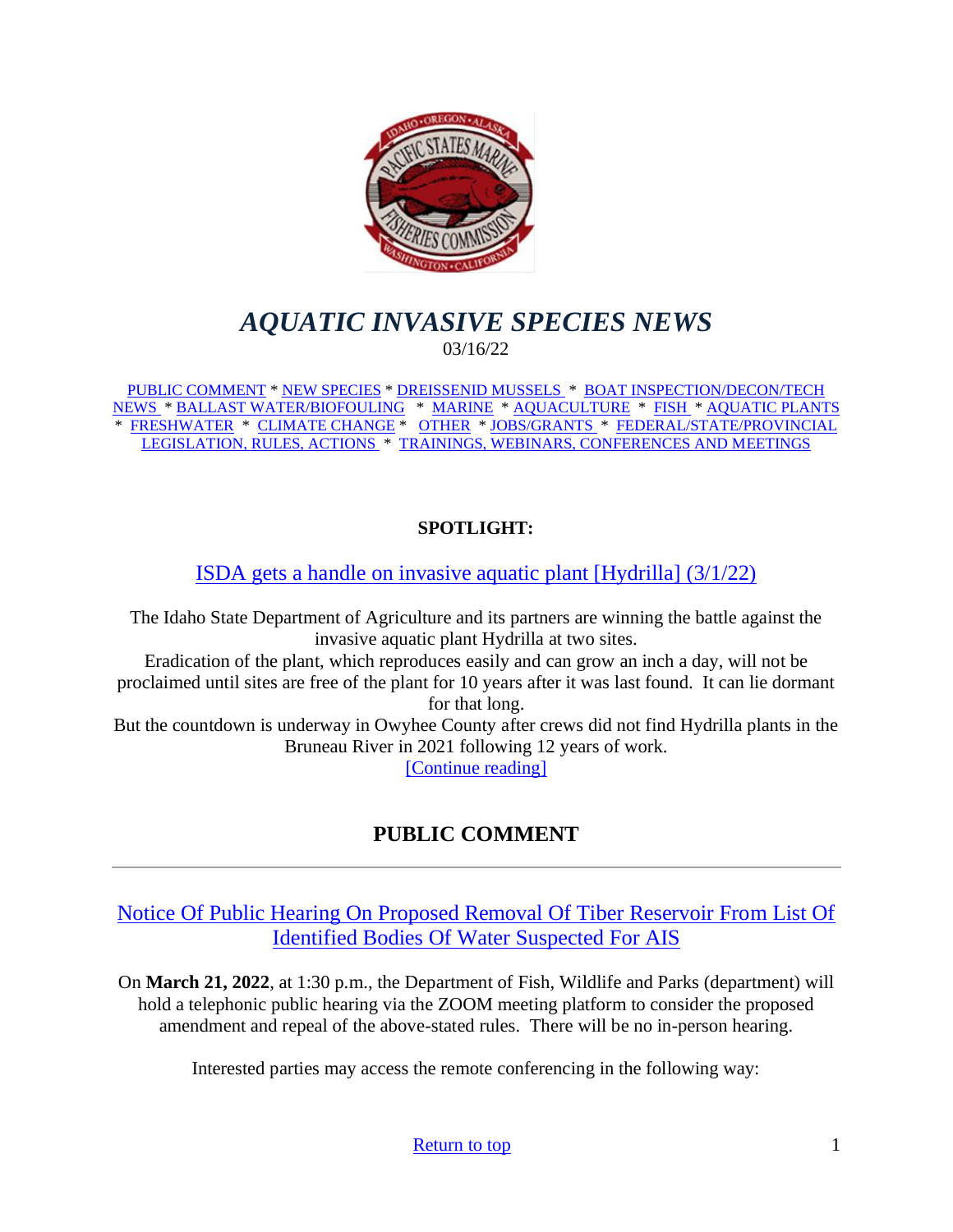<span id="page-0-0"></span>

# *AQUATIC INVASIVE SPECIES NEWS* 03/16/22

[PUBLIC COMMENT](#page-0-1) \* [NEW SPECIES](#page-0-2) \* [DREISSENID MUSSELS \\*](#page-4-0) [BOAT INSPECTION/DECON/TECH](#page-4-1)  [NEWS \\*](#page-4-1) [BALLAST WATER/BIOFOULING](#page-5-0) \* [MARINE](#page-5-1) \* [AQUACULTURE](#page-6-0) \* [FISH](#page-7-0) \* [AQUATIC PLANTS](#page-8-0) \* [FRESHWATER](#page-9-0) \* [CLIMATE CHANGE](#page-9-1) \* [OTHER](#page-9-2) \* [JOBS/GRANTS](#page-11-0) \* [FEDERAL/STATE/PROVINCIAL](#page-15-0)  [LEGISLATION, RULES, ACTIONS](#page-15-0) \* [TRAININGS, WEBINARS, CONFERENCES AND MEETINGS](#page-21-0)

# **SPOTLIGHT:**

[ISDA gets a handle on invasive aquatic plant \[Hydrilla\] \(3/1/22\)](https://www.capitalpress.com/ag_sectors/water/isda-gets-a-handle-on-invasive-aquatic-plant/article_ee8a0de0-9907-11ec-9917-1b4606133c50.html)

The Idaho State Department of Agriculture and its partners are winning the battle against the invasive aquatic plant Hydrilla at two sites. Eradication of the plant, which reproduces easily and can grow an inch a day, will not be proclaimed until sites are free of the plant for 10 years after it was last found. It can lie dormant for that long. But the countdown is underway in Owyhee County after crews did not find Hydrilla plants in the Bruneau River in 2021 following 12 years of work.

[\[Continue reading\]](https://www.capitalpress.com/ag_sectors/water/isda-gets-a-handle-on-invasive-aquatic-plant/article_ee8a0de0-9907-11ec-9917-1b4606133c50.html)

# **PUBLIC COMMENT**

<span id="page-0-2"></span><span id="page-0-1"></span>[Notice Of Public Hearing On Proposed Removal Of Tiber Reservoir From List Of](https://fwp.mt.gov/public-notices/news/2022/feb/0228-notice-of-public-hearing-on-proposed-removal-of-tiber-reservoir-from-list-of-identified-bodies-of-water-suspected-for-ais)  [Identified Bodies Of Water Suspected For AIS](https://fwp.mt.gov/public-notices/news/2022/feb/0228-notice-of-public-hearing-on-proposed-removal-of-tiber-reservoir-from-list-of-identified-bodies-of-water-suspected-for-ais)

On **March 21, 2022**, at 1:30 p.m., the Department of Fish, Wildlife and Parks (department) will hold a telephonic public hearing via the ZOOM meeting platform to consider the proposed amendment and repeal of the above-stated rules. There will be no in-person hearing.

Interested parties may access the remote conferencing in the following way: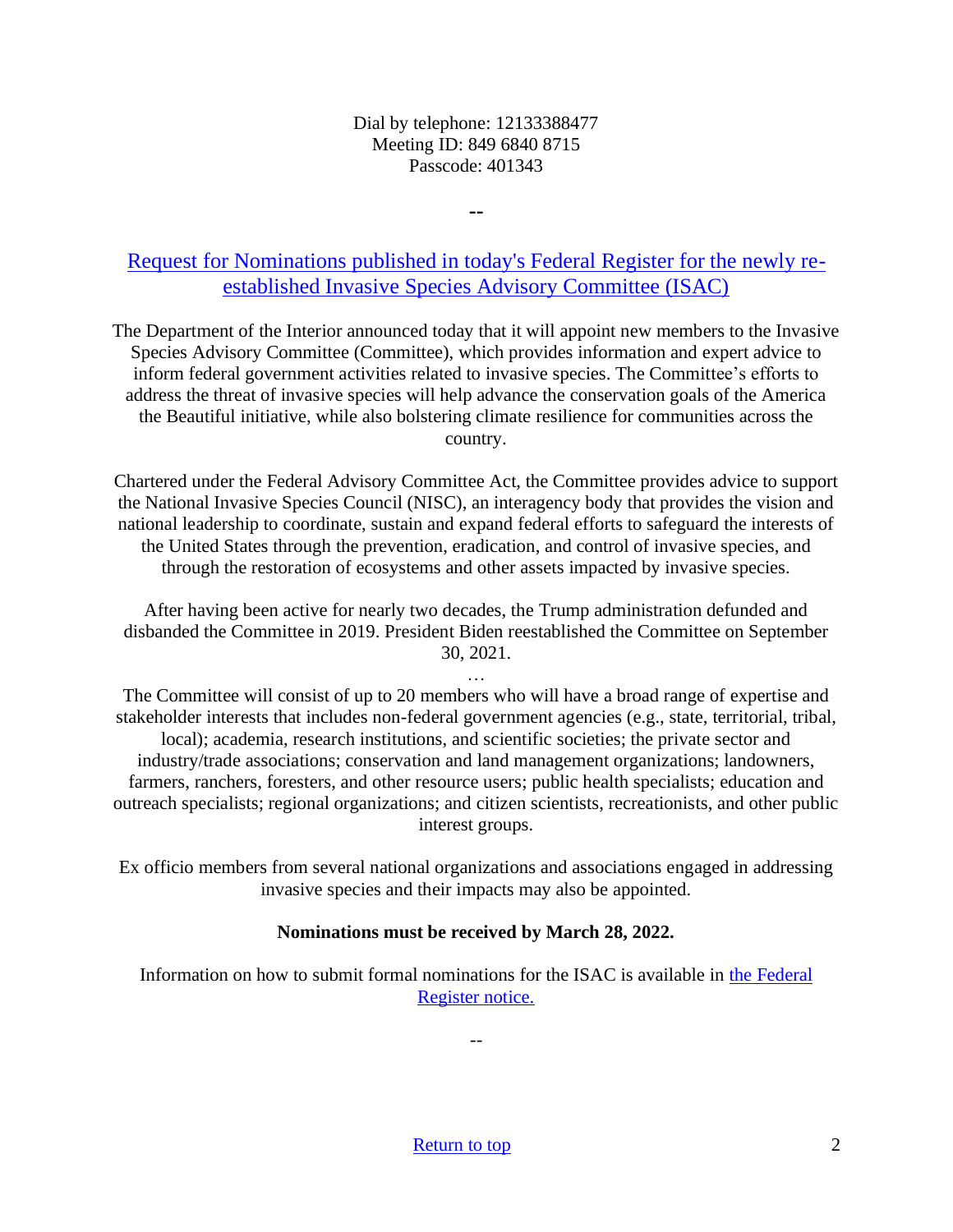#### Dial by telephone: 12133388477 Meeting ID: 849 6840 8715 Passcode: 401343

**--**

[Request for Nominations published in today's Federal Register for the newly re](https://www.doi.gov/pressreleases/interior-department-calls-nominations-serve-committee-coordinating-federal-actions)[established Invasive Species Advisory Committee \(ISAC\)](https://www.doi.gov/pressreleases/interior-department-calls-nominations-serve-committee-coordinating-federal-actions)

The Department of the Interior announced today that it will appoint new members to the Invasive Species Advisory Committee (Committee), which provides information and expert advice to inform federal government activities related to invasive species. The Committee's efforts to address the threat of invasive species will help advance the conservation goals of the America the Beautiful initiative, while also bolstering climate resilience for communities across the country.

Chartered under the Federal Advisory Committee Act, the Committee provides advice to support the National Invasive Species Council (NISC), an interagency body that provides the vision and national leadership to coordinate, sustain and expand federal efforts to safeguard the interests of the United States through the prevention, eradication, and control of invasive species, and through the restoration of ecosystems and other assets impacted by invasive species.

After having been active for nearly two decades, the Trump administration defunded and disbanded the Committee in 2019. President Biden reestablished the Committee on September 30, 2021.

… The Committee will consist of up to 20 members who will have a broad range of expertise and stakeholder interests that includes non-federal government agencies (e.g., state, territorial, tribal, local); academia, research institutions, and scientific societies; the private sector and industry/trade associations; conservation and land management organizations; landowners, farmers, ranchers, foresters, and other resource users; public health specialists; education and outreach specialists; regional organizations; and citizen scientists, recreationists, and other public interest groups.

> Ex officio members from several national organizations and associations engaged in addressing invasive species and their impacts may also be appointed.

## **Nominations must be received by March 28, 2022.**

Information on how to submit formal nominations for the ISAC is available in [the Federal](https://www.federalregister.gov/public-inspection/2022-01390/requests-for-nominations-invasive-species-advisory-committee)  [Register notice.](https://www.federalregister.gov/public-inspection/2022-01390/requests-for-nominations-invasive-species-advisory-committee)

--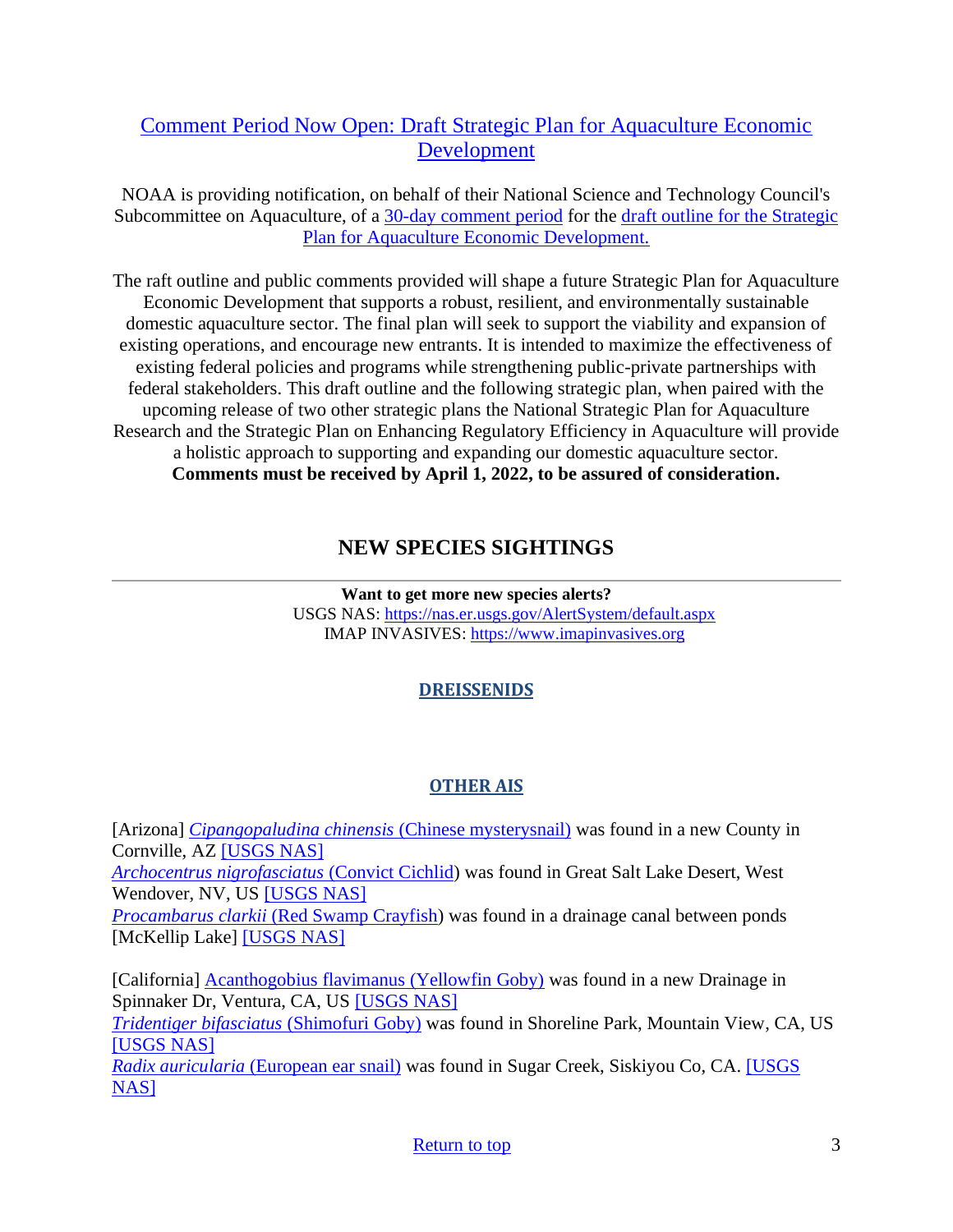# [Comment Period Now Open: Draft Strategic Plan for Aquaculture Economic](https://www.federalregister.gov/documents/2022/03/03/2022-04444/soliciting-comments-on-a-draft-outline-of-a-strategic-plan-for-aquaculture-economic-development-and?utm_medium=email&utm_source=govdelivery)  [Development](https://www.federalregister.gov/documents/2022/03/03/2022-04444/soliciting-comments-on-a-draft-outline-of-a-strategic-plan-for-aquaculture-economic-development-and?utm_medium=email&utm_source=govdelivery)

NOAA is providing notification, on behalf of their National Science and Technology Council's Subcommittee on Aquaculture, of a [30-day comment period](https://www.federalregister.gov/documents/2022/03/03/2022-04444/soliciting-comments-on-a-draft-outline-of-a-strategic-plan-for-aquaculture-economic-development-and?utm_medium=email&utm_source=govdelivery) for the [draft outline for the Strategic](https://www.ars.usda.gov/SCA/)  [Plan for Aquaculture Economic Development.](https://www.ars.usda.gov/SCA/)

The raft outline and public comments provided will shape a future Strategic Plan for Aquaculture Economic Development that supports a robust, resilient, and environmentally sustainable domestic aquaculture sector. The final plan will seek to support the viability and expansion of existing operations, and encourage new entrants. It is intended to maximize the effectiveness of existing federal policies and programs while strengthening public-private partnerships with federal stakeholders. This draft outline and the following strategic plan, when paired with the upcoming release of two other strategic plans the National Strategic Plan for Aquaculture Research and the Strategic Plan on Enhancing Regulatory Efficiency in Aquaculture will provide a holistic approach to supporting and expanding our domestic aquaculture sector. **Comments must be received by April 1, 2022, to be assured of consideration.**

# **NEW SPECIES SIGHTINGS**

**Want to get more new species alerts?** USGS NAS:<https://nas.er.usgs.gov/AlertSystem/default.aspx> IMAP INVASIVES: [https://www.imapinvasives.org](https://www.imapinvasives.org/)

# **DREISSENIDS**

# **OTHER AIS**

[Arizona] *[Cipangopaludina chinensis](https://nas.er.usgs.gov/queries/SpResults.aspx?SpeciesID=1044)* (Chinese mysterysnail) was found in a new County in Cornville, AZ [\[USGS NAS\]](https://nas.er.usgs.gov/queries/specimenviewer.aspx?SpecimenID=1674582) *[Archocentrus nigrofasciatus](https://nas.er.usgs.gov/queries/SpResults.aspx?SpeciesID=447)* (Convict Cichlid) was found in Great Salt Lake Desert, West Wendover, NV, US [\[USGS NAS\]](https://nas.er.usgs.gov/queries/specimenviewer.aspx?SpecimenID=1675963) *Procambarus clarkii* [\(Red Swamp Crayfish\)](https://nas.er.usgs.gov/queries/SpResults.aspx?SpeciesID=217) was found in a drainage canal between ponds [McKellip Lake] [\[USGS NAS\]](https://nas.er.usgs.gov/queries/specimenviewer.aspx?SpecimenID=1691749)

[California] [Acanthogobius flavimanus \(Yellowfin Goby\)](https://nas.er.usgs.gov/queries/SpResults.aspx?SpeciesID=707) was found in a new Drainage in Spinnaker Dr, Ventura, CA, US [\[USGS NAS\]](https://nas.er.usgs.gov/queries/specimenviewer.aspx?SpecimenID=1679188) *[Tridentiger bifasciatus](https://nas.er.usgs.gov/queries/SpResults.aspx?SpeciesID=716)* (Shimofuri Goby) was found in Shoreline Park, Mountain View, CA, US

[\[USGS NAS\]](https://nas.er.usgs.gov/queries/specimenviewer.aspx?SpecimenID=1675283)

*Radix auricularia* [\(European ear snail\)](https://nas.er.usgs.gov/queries/SpResults.aspx?SpeciesID=1012) was found in Sugar Creek, Siskiyou Co, CA. [\[USGS](https://nas.er.usgs.gov/queries/specimenviewer.aspx?SpecimenID=1674235)  [NAS\]](https://nas.er.usgs.gov/queries/specimenviewer.aspx?SpecimenID=1674235)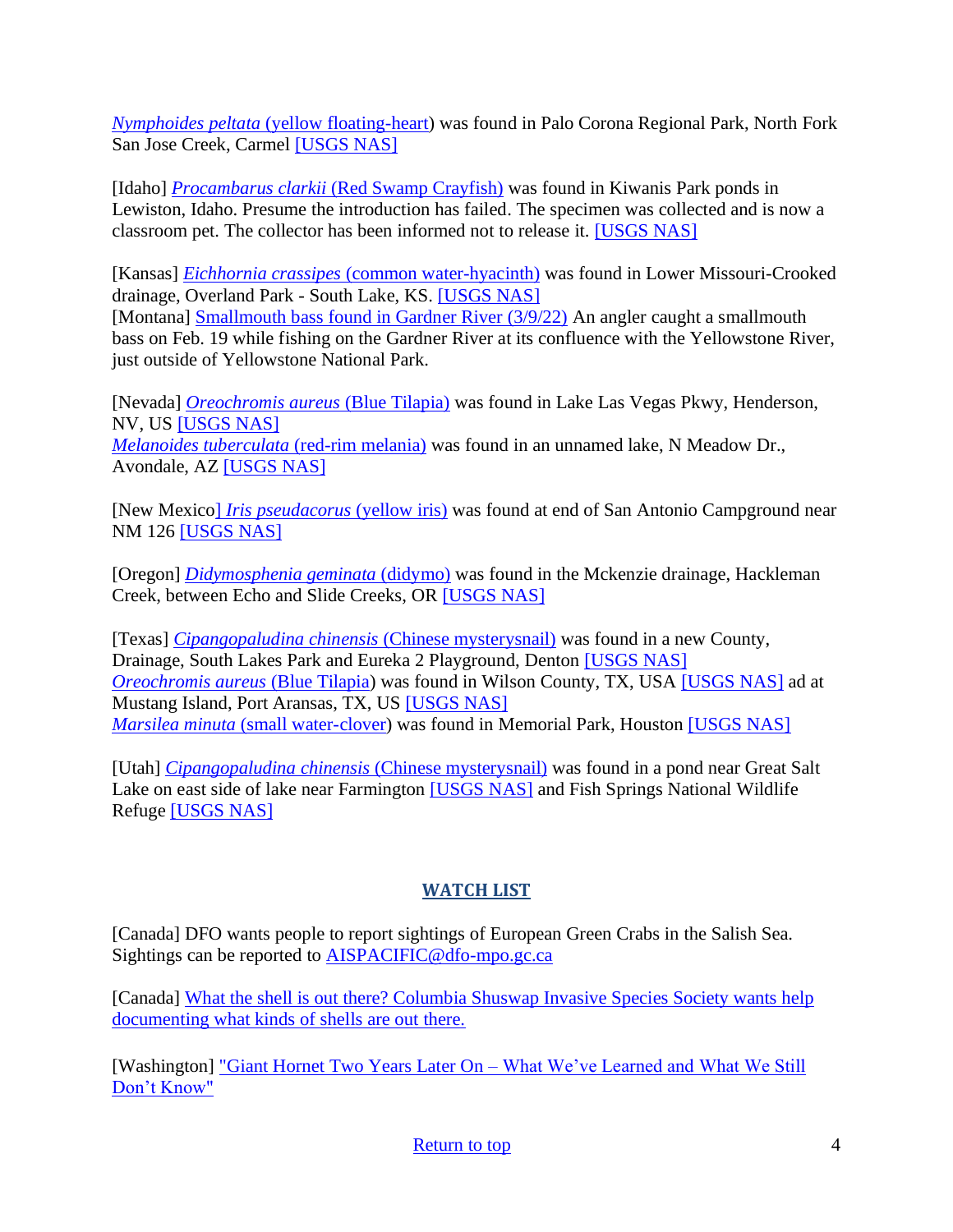*Nymphoides peltata* [\(yellow floating-heart\)](https://nas.er.usgs.gov/queries/SpResults.aspx?SpeciesID=243) was found in Palo Corona Regional Park, North Fork San Jose Creek, Carmel [\[USGS NAS\]](https://nas.er.usgs.gov/queries/specimenviewer.aspx?SpecimenID=1680055)

[Idaho] *Procambarus clarkii* [\(Red Swamp Crayfish\)](https://nas.er.usgs.gov/queries/SpResults.aspx?SpeciesID=217) was found in Kiwanis Park ponds in Lewiston, Idaho. Presume the introduction has failed. The specimen was collected and is now a classroom pet. The collector has been informed not to release it. [\[USGS NAS\]](https://nas.er.usgs.gov/queries/specimenviewer.aspx?SpecimenID=1691653)

[Kansas] *Eichhornia crassipes* [\(common water-hyacinth\)](https://nas.er.usgs.gov/queries/SpResults.aspx?SpeciesID=1130) was found in Lower Missouri-Crooked drainage, Overland Park - South Lake, KS. [\[USGS NAS\]](https://nas.er.usgs.gov/queries/specimenviewer.aspx?SpecimenID=1680177) [Montana] [Smallmouth bass found in Gardner River \(3/9/22\)](https://fwp.mt.gov/homepage/news/2022/mar/0309-smallmouth-bass-found-in-gardner-river) An angler caught a smallmouth bass on Feb. 19 while fishing on the Gardner River at its confluence with the Yellowstone River, just outside of Yellowstone National Park.

[Nevada] *[Oreochromis aureus](https://nas.er.usgs.gov/queries/SpResults.aspx?SpeciesID=463)* (Blue Tilapia) was found in Lake Las Vegas Pkwy, Henderson, NV, US [\[USGS NAS\]](https://nas.er.usgs.gov/queries/specimenviewer.aspx?SpecimenID=1677197) *[Melanoides tuberculata](https://nas.er.usgs.gov/queries/SpResults.aspx?SpeciesID=1037)* (red-rim melania) was found in an unnamed lake, N Meadow Dr., Avondale, AZ [\[USGS NAS\]](https://nas.er.usgs.gov/queries/specimenviewer.aspx?SpecimenID=1676267)

[New Mexico] *[Iris pseudacorus](https://nas.er.usgs.gov/queries/SpResults.aspx?SpeciesID=1115)* (yellow iris) was found at end of San Antonio Campground near NM 126 [\[USGS NAS\]](https://nas.er.usgs.gov/queries/specimenviewer.aspx?SpecimenID=1691742)

[Oregon] *[Didymosphenia geminata](https://nas.er.usgs.gov/queries/SpResults.aspx?SpeciesID=2856)* (didymo) was found in the Mckenzie drainage, Hackleman Creek, between Echo and Slide Creeks, OR [\[USGS NAS\]](https://nas.er.usgs.gov/queries/specimenviewer.aspx?SpecimenID=1680173)

[Texas] *[Cipangopaludina chinensis](https://nas.er.usgs.gov/queries/SpResults.aspx?SpeciesID=1044)* (Chinese mysterysnail) was found in a new County, Drainage, South Lakes Park and Eureka 2 Playground, Denton [\[USGS NAS\]](https://nas.er.usgs.gov/queries/specimenviewer.aspx?SpecimenID=1673579) *[Oreochromis aureus](https://nas.er.usgs.gov/queries/SpResults.aspx?SpeciesID=463)* (Blue Tilapia) was found in Wilson County, TX, USA [\[USGS NAS\]](https://nas.er.usgs.gov/queries/specimenviewer.aspx?SpecimenID=1675617) ad at Mustang Island, Port Aransas, TX, US [\[USGS NAS\]](https://nas.er.usgs.gov/queries/specimenviewer.aspx?SpecimenID=1676286) *Marsilea minuta* [\(small water-clover\)](https://nas.er.usgs.gov/queries/SpResults.aspx?SpeciesID=292) was found in Memorial Park, Houston [\[USGS NAS\]](https://nas.er.usgs.gov/queries/specimenviewer.aspx?SpecimenID=1675102)

[Utah] *[Cipangopaludina chinensis](https://nas.er.usgs.gov/queries/SpResults.aspx?SpeciesID=1044)* (Chinese mysterysnail) was found in a pond near Great Salt Lake on east side of lake near Farmington [\[USGS NAS\]](https://nas.er.usgs.gov/queries/specimenviewer.aspx?SpecimenID=1687222) and Fish Springs National Wildlife Refuge [\[USGS NAS\]](https://nas.er.usgs.gov/queries/specimenviewer.aspx?SpecimenID=1687221)

# **WATCH LIST**

[Canada] DFO wants people to report sightings of European Green Crabs in the Salish Sea. Sightings can be reported to [AISPACIFIC@dfo-mpo.gc.ca](mailto:AISPACIFIC@dfo-mpo.gc.ca)

[Canada] [What the shell is out there? Columbia Shuswap Invasive Species Society wants help](https://www.castanet.net/news/Salmon-Arm/344047/Columbia-Shuswap-Invasive-Species-Society-wants-help-documenting-what-kinds-of-shells-are-out-there)  [documenting what kinds of shells are out there.](https://www.castanet.net/news/Salmon-Arm/344047/Columbia-Shuswap-Invasive-Species-Society-wants-help-documenting-what-kinds-of-shells-are-out-there)

[Washington] "Giant Hornet Two Years Later On – [What We've Learned and What We Still](https://www.youtube.com/watch?v=EscUpuhr3oo&feature=youtu.be)  [Don't Know"](https://www.youtube.com/watch?v=EscUpuhr3oo&feature=youtu.be)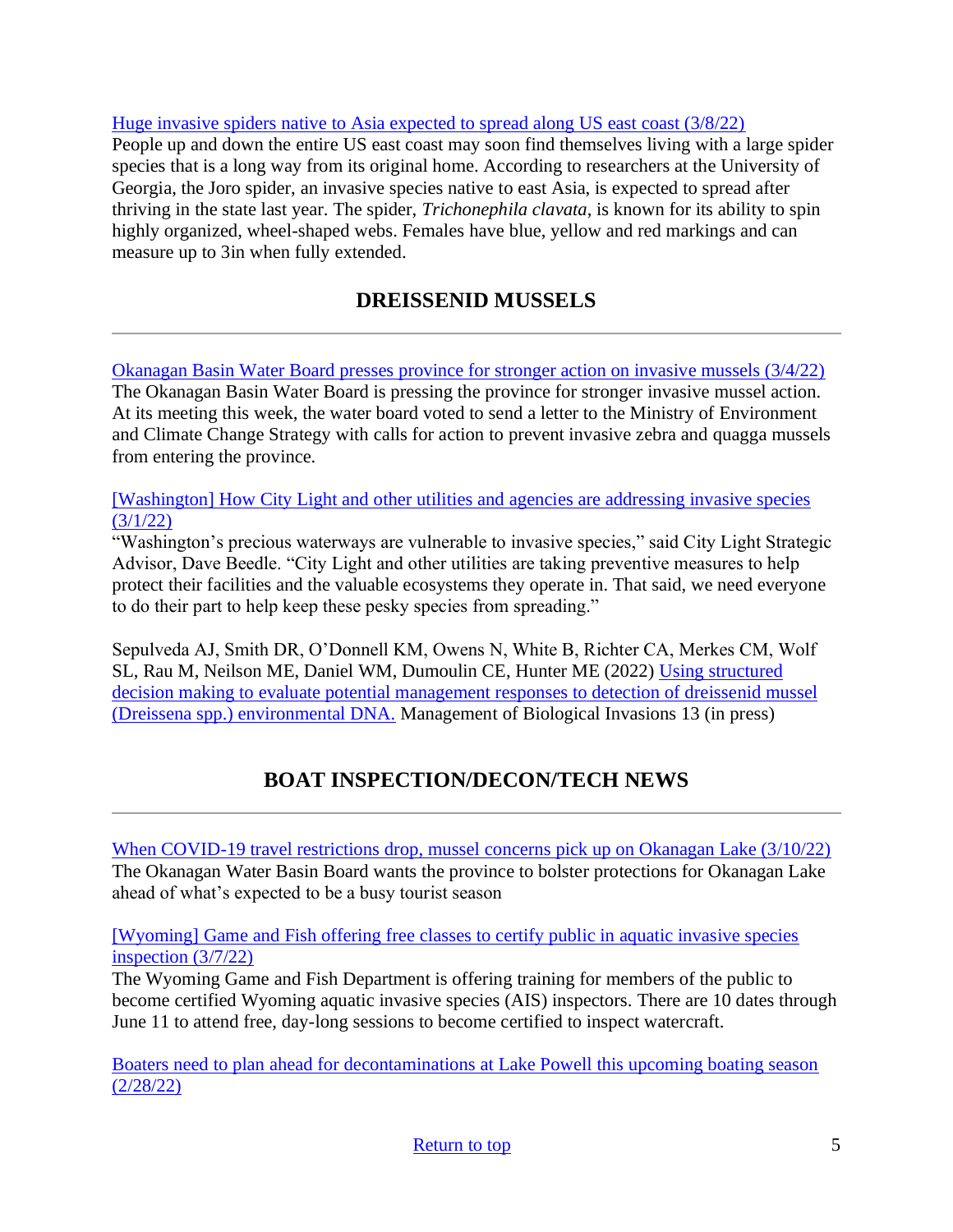[Huge invasive spiders native to Asia expected to spread along US east coast \(3/8/22\)](https://www.theguardian.com/us-news/2022/mar/08/invasive-joro-spider-us-east-coast) People up and down the entire US east coast may soon find themselves living with a large spider species that is a long way from its original home. According to researchers at the University of Georgia, the Joro spider, an invasive species native to east Asia, is expected to spread after thriving in the state last year. The spider, *Trichonephila clavata*, is known for its ability to spin highly organized, wheel-shaped webs. Females have blue, yellow and red markings and can measure up to 3in when fully extended.

# **DREISSENID MUSSELS**

<span id="page-4-0"></span>[Okanagan Basin Water Board presses province for stronger action on invasive mussels \(3/4/22\)](https://www.castanet.net/news/Vernon/361884/Okanagan-Basin-Water-Board-presses-province-for-stronger-action-on-invasive-mussels) The Okanagan Basin Water Board is pressing the province for stronger invasive mussel action. At its meeting this week, the water board voted to send a letter to the Ministry of Environment and Climate Change Strategy with calls for action to prevent invasive zebra and quagga mussels from entering the province.

[\[Washington\] How City Light and other utilities and agencies are addressing invasive species](https://powerlines.seattle.gov/2022/03/01/attack-of-the-zebra-mussels-how-city-light-and-other-utilities-and-agencies-are-addressing-invasive-species/)  [\(3/1/22\)](https://powerlines.seattle.gov/2022/03/01/attack-of-the-zebra-mussels-how-city-light-and-other-utilities-and-agencies-are-addressing-invasive-species/)

"Washington's precious waterways are vulnerable to invasive species," said City Light Strategic Advisor, Dave Beedle. "City Light and other utilities are taking preventive measures to help protect their facilities and the valuable ecosystems they operate in. That said, we need everyone to do their part to help keep these pesky species from spreading."

Sepulveda AJ, Smith DR, O'Donnell KM, Owens N, White B, Richter CA, Merkes CM, Wolf SL, Rau M, Neilson ME, Daniel WM, Dumoulin CE, Hunter ME (2022) [Using structured](https://www.reabic.net/journals/mbi/2022/Accepted/MBI_2022_Sepulveda_etal_correctedproof.pdf)  [decision making to evaluate potential management responses to detection of dreissenid mussel](https://www.reabic.net/journals/mbi/2022/Accepted/MBI_2022_Sepulveda_etal_correctedproof.pdf)  [\(Dreissena spp.\) environmental DNA.](https://www.reabic.net/journals/mbi/2022/Accepted/MBI_2022_Sepulveda_etal_correctedproof.pdf) Management of Biological Invasions 13 (in press)

# **BOAT INSPECTION/DECON/TECH NEWS**

<span id="page-4-1"></span>[When COVID-19 travel restrictions drop, mussel concerns pick up on Okanagan Lake \(3/10/22\)](https://globalnews.ca/news/8673557/covid-travel-restrictions-mussel-concerns-okanagan-lake/) The Okanagan Water Basin Board wants the province to bolster protections for Okanagan Lake ahead of what's expected to be a busy tourist season

[\[Wyoming\] Game and Fish offering free classes to certify public in aquatic invasive species](https://oilcity.news/community/animals/2022/03/07/game-and-fish-offering-free-classes-to-certify-public-in-aquatic-invasive-species-inspection/)  [inspection \(3/7/22\)](https://oilcity.news/community/animals/2022/03/07/game-and-fish-offering-free-classes-to-certify-public-in-aquatic-invasive-species-inspection/)

The Wyoming Game and Fish Department is offering training for members of the public to become certified Wyoming aquatic invasive species (AIS) inspectors. There are 10 dates through June 11 to attend free, day-long sessions to become certified to inspect watercraft.

[Boaters need to plan ahead for decontaminations at Lake Powell this upcoming boating season](https://wildlife.utah.gov/news/utah-wildlife-news/1374-boaters-need-to-plan-ahead-for-decontaminations-at-lake-powell.html)  [\(2/28/22\)](https://wildlife.utah.gov/news/utah-wildlife-news/1374-boaters-need-to-plan-ahead-for-decontaminations-at-lake-powell.html)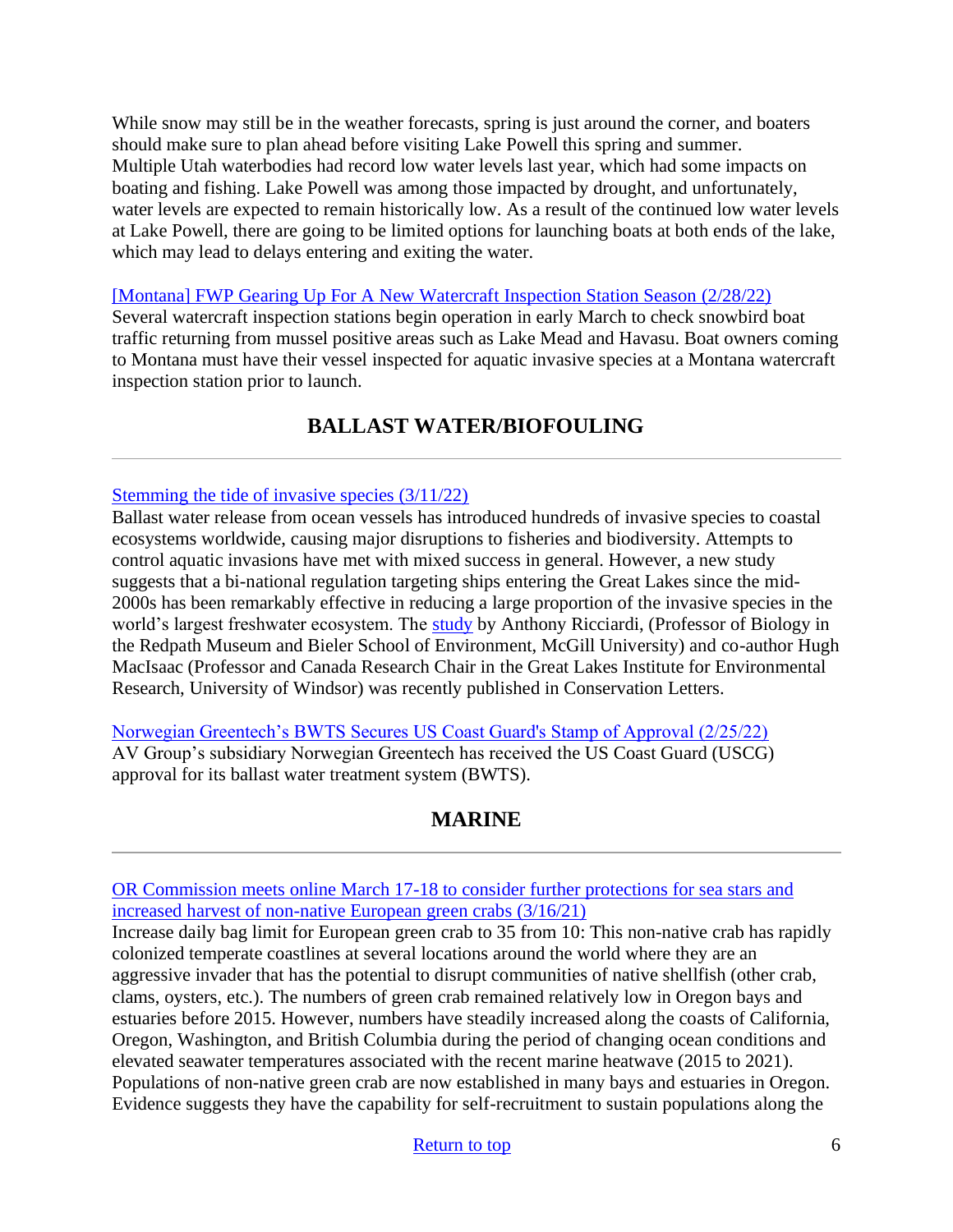While snow may still be in the weather forecasts, spring is just around the corner, and boaters should make sure to plan ahead before visiting Lake Powell this spring and summer. Multiple Utah waterbodies had record low water levels last year, which had some impacts on boating and fishing. Lake Powell was among those impacted by drought, and unfortunately, water levels are expected to remain historically low. As a result of the continued low water levels at Lake Powell, there are going to be limited options for launching boats at both ends of the lake, which may lead to delays entering and exiting the water.

[\[Montana\] FWP Gearing Up For A New Watercraft Inspection Station Season \(2/28/22\)](https://fwp.mt.gov/homepage/news/2022/feb/0228-fwp-gearing-up-for-a-new-watercraft-inspection-station-season)

Several watercraft inspection stations begin operation in early March to check snowbird boat traffic returning from mussel positive areas such as Lake Mead and Havasu. Boat owners coming to Montana must have their vessel inspected for aquatic invasive species at a Montana watercraft inspection station prior to launch.

# **BALLAST WATER/BIOFOULING**

## <span id="page-5-0"></span>[Stemming the tide of invasive species \(3/11/22\)](https://www.mcgill.ca/newsroom/channels/news/stemming-tide-invasive-species-338304)

Ballast water release from ocean vessels has introduced hundreds of invasive species to coastal ecosystems worldwide, causing major disruptions to fisheries and biodiversity. Attempts to control aquatic invasions have met with mixed success in general. However, a new study suggests that a bi-national regulation targeting ships entering the Great Lakes since the mid-2000s has been remarkably effective in reducing a large proportion of the invasive species in the world's largest freshwater ecosystem. The [study](https://conbio.onlinelibrary.wiley.com/doi/10.1111/conl.12866) by Anthony Ricciardi, (Professor of Biology in the Redpath Museum and Bieler School of Environment, McGill University) and co-author Hugh MacIsaac (Professor and Canada Research Chair in the Great Lakes Institute for Environmental Research, University of Windsor) was recently published in Conservation Letters.

[Norwegian Greentech's BWTS Secures US Coast Guard's Stamp of Approval \(2/25/22\)](https://www.marinelink.com/news/norwegian-greentechs-bwts-secures-us-494602) AV Group's subsidiary Norwegian Greentech has received the US Coast Guard (USCG) approval for its ballast water treatment system (BWTS).

# **MARINE**

<span id="page-5-1"></span>[OR Commission meets online March 17-18 to consider further protections for sea stars and](https://www.dfw.state.or.us/news/2022/03_Mar/031122c.asp)  [increased harvest of non-native European green crabs \(3/16/21\)](https://www.dfw.state.or.us/news/2022/03_Mar/031122c.asp)

Increase daily bag limit for European green crab to 35 from 10: This non-native crab has rapidly colonized temperate coastlines at several locations around the world where they are an aggressive invader that has the potential to disrupt communities of native shellfish (other crab, clams, oysters, etc.). The numbers of green crab remained relatively low in Oregon bays and estuaries before 2015. However, numbers have steadily increased along the coasts of California, Oregon, Washington, and British Columbia during the period of changing ocean conditions and elevated seawater temperatures associated with the recent marine heatwave (2015 to 2021). Populations of non-native green crab are now established in many bays and estuaries in Oregon. Evidence suggests they have the capability for self-recruitment to sustain populations along the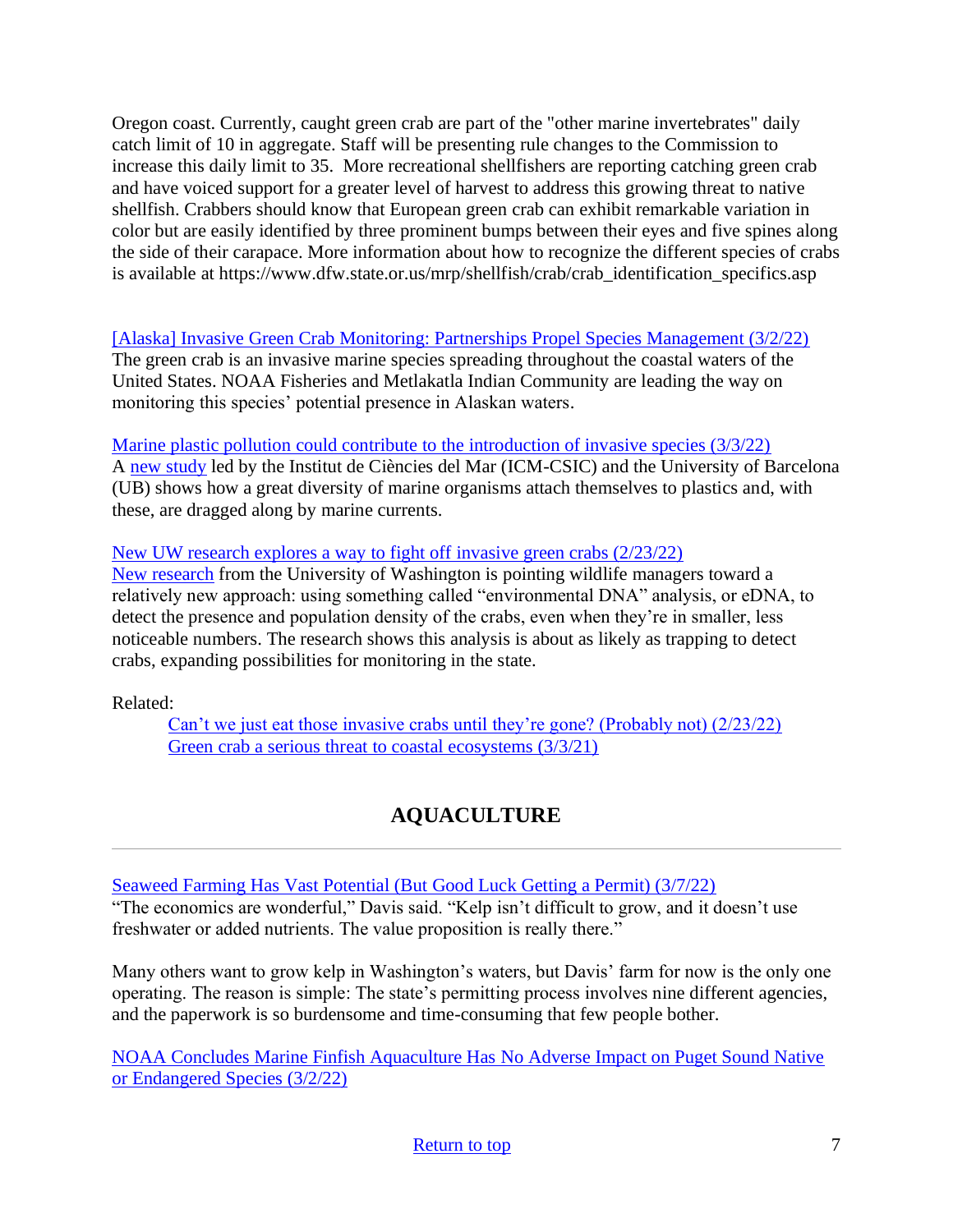Oregon coast. Currently, caught green crab are part of the "other marine invertebrates" daily catch limit of 10 in aggregate. Staff will be presenting rule changes to the Commission to increase this daily limit to 35. More recreational shellfishers are reporting catching green crab and have voiced support for a greater level of harvest to address this growing threat to native shellfish. Crabbers should know that European green crab can exhibit remarkable variation in color but are easily identified by three prominent bumps between their eyes and five spines along the side of their carapace. More information about how to recognize the different species of crabs is available at [https://www.dfw.state.or.us/mrp/shellfish/crab/crab\\_identification\\_specifics.asp](https://www.dfw.state.or.us/mrp/shellfish/crab/crab_identification_specifics.asp) 

[\[Alaska\] Invasive Green Crab Monitoring: Partnerships Propel Species Management \(3/2/22\)](https://www.fisheries.noaa.gov/feature-story/invasive-green-crab-monitoring-partnerships-propel-species-management?utm_medium=email&utm_source=govdelivery) The green crab is an invasive marine species spreading throughout the coastal waters of the United States. NOAA Fisheries and Metlakatla Indian Community are leading the way on monitoring this species' potential presence in Alaskan waters.

[Marine plastic pollution could contribute to the introduction of invasive species \(3/3/22\)](https://www.icm.csic.es/en/news/marine-plastic-pollution-could-contribute-introduction-invasive-species?utm_source=feedburner&utm_medium=email) A [new study](https://www.sciencedirect.com/science/article/pii/S0025326X2200087X) led by the Institut de Ciències del Mar (ICM-CSIC) and the University of Barcelona (UB) shows how a great diversity of marine organisms attach themselves to plastics and, with these, are dragged along by marine currents.

[New UW research explores a way to fight off invasive green crabs \(2/23/22\)](https://crosscut.com/environment/2022/02/new-uw-research-explores-way-fight-invasive-green-crabs) [New research](https://esajournals.onlinelibrary.wiley.com/doi/10.1002/eap.2561) from the University of Washington is pointing wildlife managers toward a relatively new approach: using something called "environmental DNA" analysis, or eDNA, to detect the presence and population density of the crabs, even when they're in smaller, less noticeable numbers. The research shows this analysis is about as likely as trapping to detect crabs, expanding possibilities for monitoring in the state.

<span id="page-6-0"></span>Related:

[Can't we just eat those invasive crabs until they're gone? \(Probably not\) \(2/23/22\)](https://www.kuow.org/stories/can-t-we-just-eat-those-invasive-crabs-until-they-re-gone-probably-not-33db) [Green crab a serious threat to coastal ecosystems \(3/3/21\)](https://www.dailyastorian.com/opinion/editorials/our-view-green-crab-a-serious-threat-to-coastal-ecosystems/article_9a0bd238-98f5-11ec-9807-0beb91053133.html)

# **AQUACULTURE**

[Seaweed Farming Has Vast Potential \(But Good Luck Getting a Permit\) \(3/7/22\)](https://www.pewtrusts.org/en/research-and-analysis/blogs/stateline/2022/03/07/seaweed-farming-has-vast-potential-but-good-luck-getting-a-permit)

"The economics are wonderful," Davis said. "Kelp isn't difficult to grow, and it doesn't use freshwater or added nutrients. The value proposition is really there."

Many others want to grow kelp in Washington's waters, but Davis' farm for now is the only one operating. The reason is simple: The state's permitting process involves nine different agencies, and the paperwork is so burdensome and time-consuming that few people bother.

[NOAA Concludes Marine Finfish Aquaculture Has No Adverse Impact on Puget Sound Native](https://www.nwaquaculturealliance.org/noaa-biological-opinion-concludes-marine-finfish-aquaculture-has-no-adverse-impact-on-native-or-endangered-species-in-puget-sound/)  [or Endangered Species \(3/2/22\)](https://www.nwaquaculturealliance.org/noaa-biological-opinion-concludes-marine-finfish-aquaculture-has-no-adverse-impact-on-native-or-endangered-species-in-puget-sound/)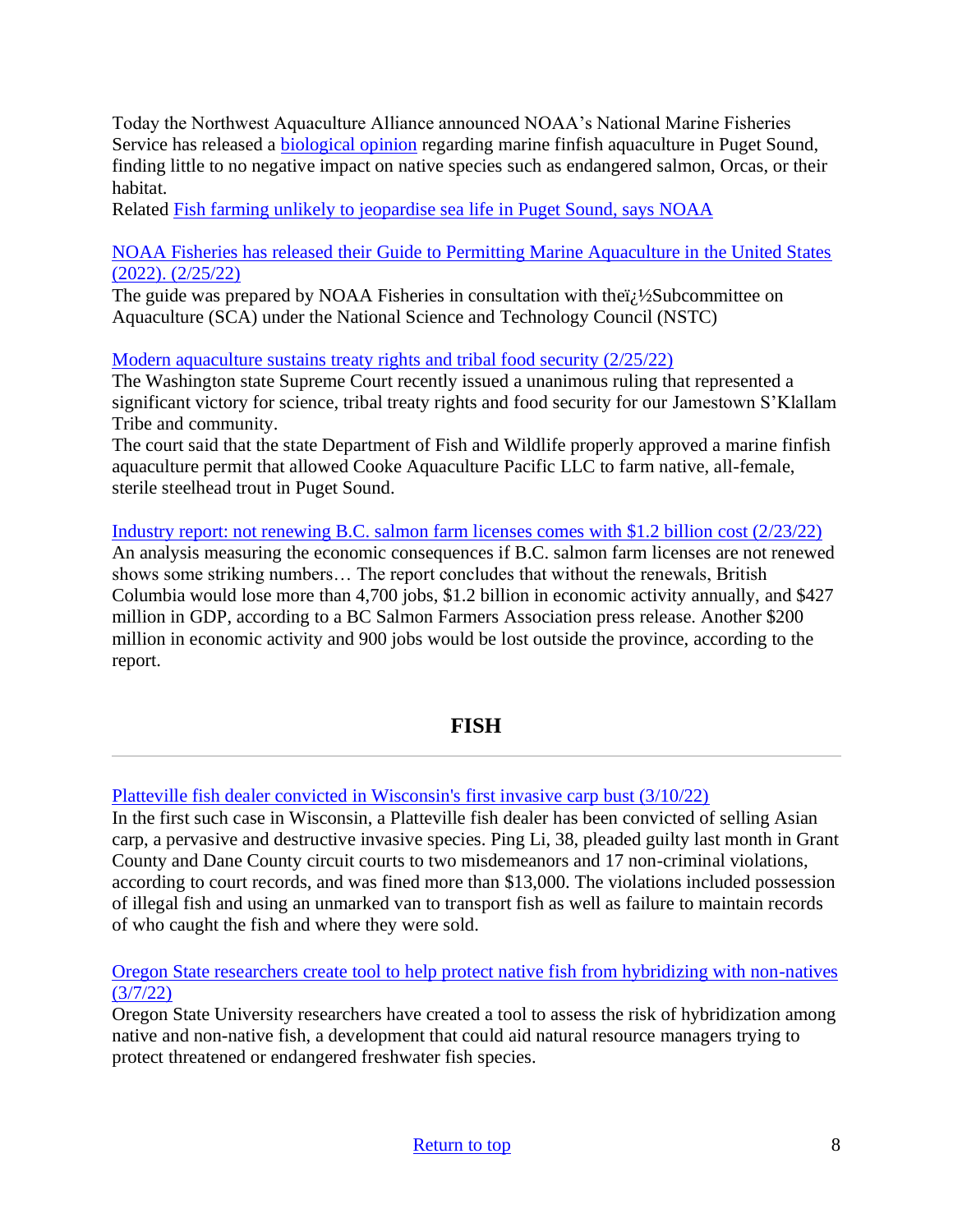Today the Northwest Aquaculture Alliance announced NOAA's National Marine Fisheries Service has released a [biological opinion](https://drive.google.com/file/d/1mPef6Qw6hSIykZB3T5JrdfqHWSAfEPl3/view) regarding marine finfish aquaculture in Puget Sound, finding little to no negative impact on native species such as endangered salmon, Orcas, or their habitat.

Related [Fish farming unlikely to jeopardise sea life in Puget Sound, says NOAA](https://www.fishfarmingexpert.com/article/fish-farming-unlikely-to-jeopardise-sea-life-in-puget-sound-says-noaa/)

[NOAA Fisheries has released their Guide to Permitting Marine Aquaculture in the United States](https://www.fisheries.noaa.gov/resource/document/guide-permitting-marine-aquaculture-united-states-2022?utm_medium=email&utm_source=govdelivery)  [\(2022\). \(2/25/22\)](https://www.fisheries.noaa.gov/resource/document/guide-permitting-marine-aquaculture-united-states-2022?utm_medium=email&utm_source=govdelivery)

The guide was prepared by NOAA Fisheries in consultation with the $i/\frac{1}{2}$ Subcommittee on Aquaculture (SCA) under the National Science and Technology Council (NSTC)

[Modern aquaculture sustains treaty rights and tribal food security \(2/25/22\)](https://www.seattletimes.com/opinion/modern-aquaculture-sustains-treaty-rights-and-tribal-food-security/)

The Washington state Supreme Court recently issued a unanimous ruling that represented a significant victory for science, tribal treaty rights and food security for our Jamestown S'Klallam Tribe and community.

The court said that the state Department of Fish and Wildlife properly approved a marine finfish aquaculture permit that allowed Cooke Aquaculture Pacific LLC to farm native, all-female, sterile steelhead trout in Puget Sound.

[Industry report: not renewing B.C. salmon farm licenses comes with \\$1.2 billion cost \(2/23/22\)](https://www.campbellrivermirror.com/news/report-thousands-of-jobs-over-1-billion-in-economic-activity-hinges-on-b-c-salmon-farm-license-renewals/) An analysis measuring the economic consequences if B.C. salmon farm licenses are not renewed shows some striking numbers… The report concludes that without the renewals, British Columbia would lose more than 4,700 jobs, \$1.2 billion in economic activity annually, and \$427 million in GDP, according to a BC Salmon Farmers Association press release. Another \$200 million in economic activity and 900 jobs would be lost outside the province, according to the report.

# **FISH**

<span id="page-7-0"></span>[Platteville fish dealer convicted in Wisconsin's first invasive carp bust \(3/10/22\)](https://madison.com/news/local/environment/platteville-fish-dealer-convicted-in-wisconsins-first-invasive-carp-bust/article_591676a4-b851-5626-b2ec-b95d9feae83a.html)

In the first such case in Wisconsin, a Platteville fish dealer has been convicted of selling Asian carp, a pervasive and destructive invasive species. Ping Li, 38, pleaded guilty last month in Grant County and Dane County circuit courts to two misdemeanors and 17 non-criminal violations, according to court records, and was fined more than \$13,000. The violations included possession of illegal fish and using an unmarked van to transport fish as well as failure to maintain records of who caught the fish and where they were sold.

[Oregon State researchers create tool to help protect native fish from hybridizing with non-natives](https://today.oregonstate.edu/news/oregon-state-researchers-create-tool-help-protect-native-fish-hybridizing-non-natives)  [\(3/7/22\)](https://today.oregonstate.edu/news/oregon-state-researchers-create-tool-help-protect-native-fish-hybridizing-non-natives)

Oregon State University researchers have created a tool to assess the risk of hybridization among native and non-native fish, a development that could aid natural resource managers trying to protect threatened or endangered freshwater fish species.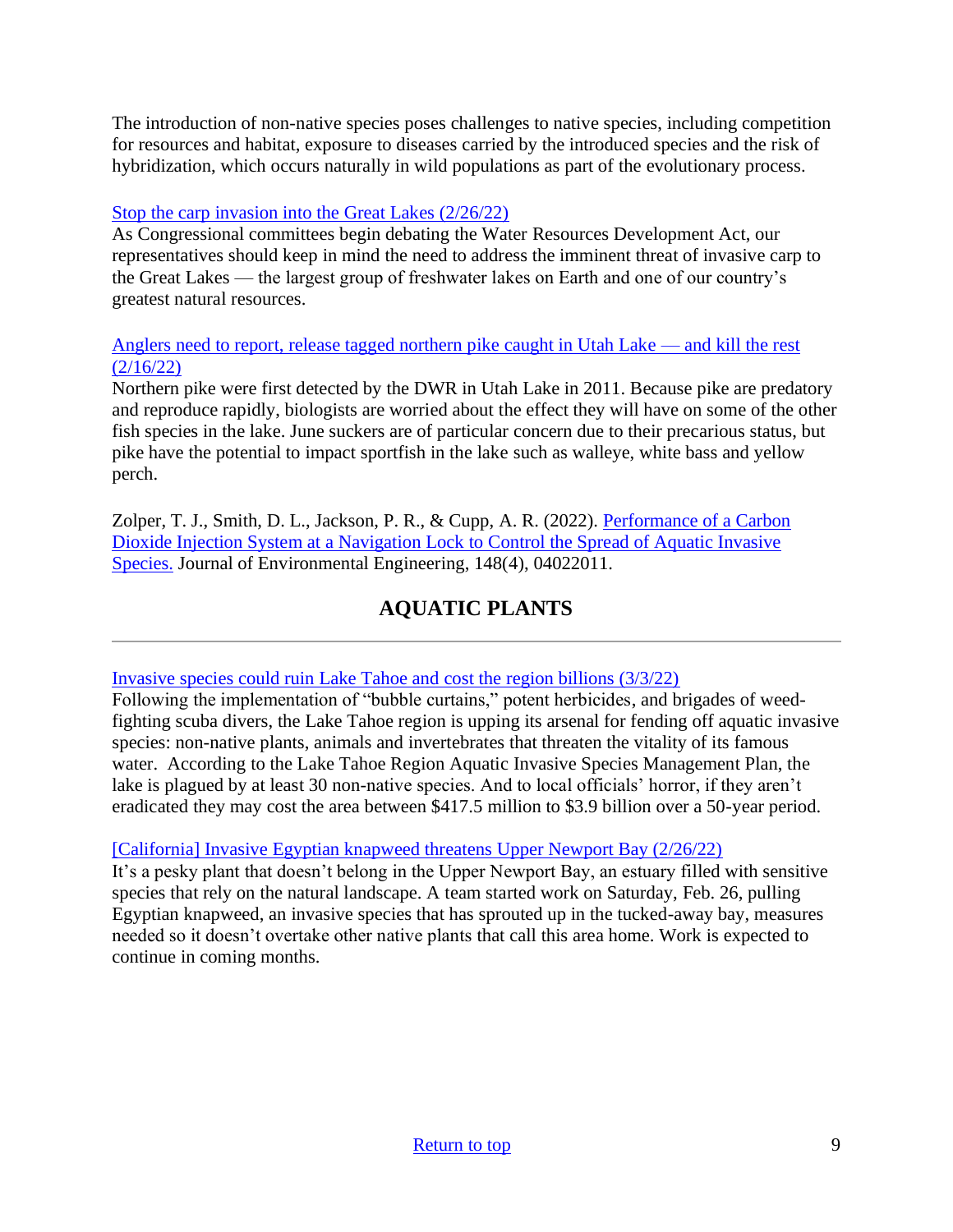The introduction of non-native species poses challenges to native species, including competition for resources and habitat, exposure to diseases carried by the introduced species and the risk of hybridization, which occurs naturally in wild populations as part of the evolutionary process.

## [Stop the carp invasion into the Great Lakes \(2/26/22\)](https://thehill.com/opinion/energy-environment/596060-stop-the-carp-invasion-into-the-great-lakes)

As Congressional committees begin debating the Water Resources Development Act, our representatives should keep in mind the need to address the imminent threat of invasive carp to the Great Lakes — the largest group of freshwater lakes on Earth and one of our country's greatest natural resources.

#### [Anglers need to report, release tagged northern pike caught in Utah Lake —](https://wildlife.utah.gov/news/utah-wildlife-news/1370-release-tagged-northern-pike-in-utah-lake-and-kill-the-rest.html) and kill the rest [\(2/16/22\)](https://wildlife.utah.gov/news/utah-wildlife-news/1370-release-tagged-northern-pike-in-utah-lake-and-kill-the-rest.html)

Northern pike were first detected by the DWR in Utah Lake in 2011. Because pike are predatory and reproduce rapidly, biologists are worried about the effect they will have on some of the other fish species in the lake. June suckers are of particular concern due to their precarious status, but pike have the potential to impact sportfish in the lake such as walleye, white bass and yellow perch.

Zolper, T. J., Smith, D. L., Jackson, P. R., & Cupp, A. R. (2022). [Performance of a Carbon](https://ascelibrary.org/doi/pdf/10.1061/%28ASCE%29EE.1943-7870.0001987?utm_medium=email&utm_source=govdelivery)  [Dioxide Injection System at a Navigation Lock to Control the Spread of Aquatic Invasive](https://ascelibrary.org/doi/pdf/10.1061/%28ASCE%29EE.1943-7870.0001987?utm_medium=email&utm_source=govdelivery)  [Species.](https://ascelibrary.org/doi/pdf/10.1061/%28ASCE%29EE.1943-7870.0001987?utm_medium=email&utm_source=govdelivery) Journal of Environmental Engineering, 148(4), 04022011.

# **AQUATIC PLANTS**

## <span id="page-8-0"></span>[Invasive species could ruin Lake Tahoe and cost the region billions \(3/3/22\)](https://www.sfgate.com/renotahoe/article/Lake-Tahoe-wages-war-on-invasive-species-16975416.php)

Following the implementation of "bubble curtains," potent herbicides, and brigades of weedfighting scuba divers, the Lake Tahoe region is upping its arsenal for fending off aquatic invasive species: non-native plants, animals and invertebrates that threaten the vitality of its famous water. According to the Lake Tahoe Region Aquatic Invasive Species Management Plan, the lake is plagued by at least 30 non-native species. And to local officials' horror, if they aren't eradicated they may cost the area between \$417.5 million to \$3.9 billion over a 50-year period.

## [\[California\] Invasive Egyptian knapweed threatens Upper Newport Bay \(2/26/22\)](https://www.ocregister.com/2022/02/26/invasive-egyptian-knapweed-threatens-upper-newport-bay/)

It's a pesky plant that doesn't belong in the Upper Newport Bay, an estuary filled with sensitive species that rely on the natural landscape. A team started work on Saturday, Feb. 26, pulling Egyptian knapweed, an invasive species that has sprouted up in the tucked-away bay, measures needed so it doesn't overtake other native plants that call this area home. Work is expected to continue in coming months.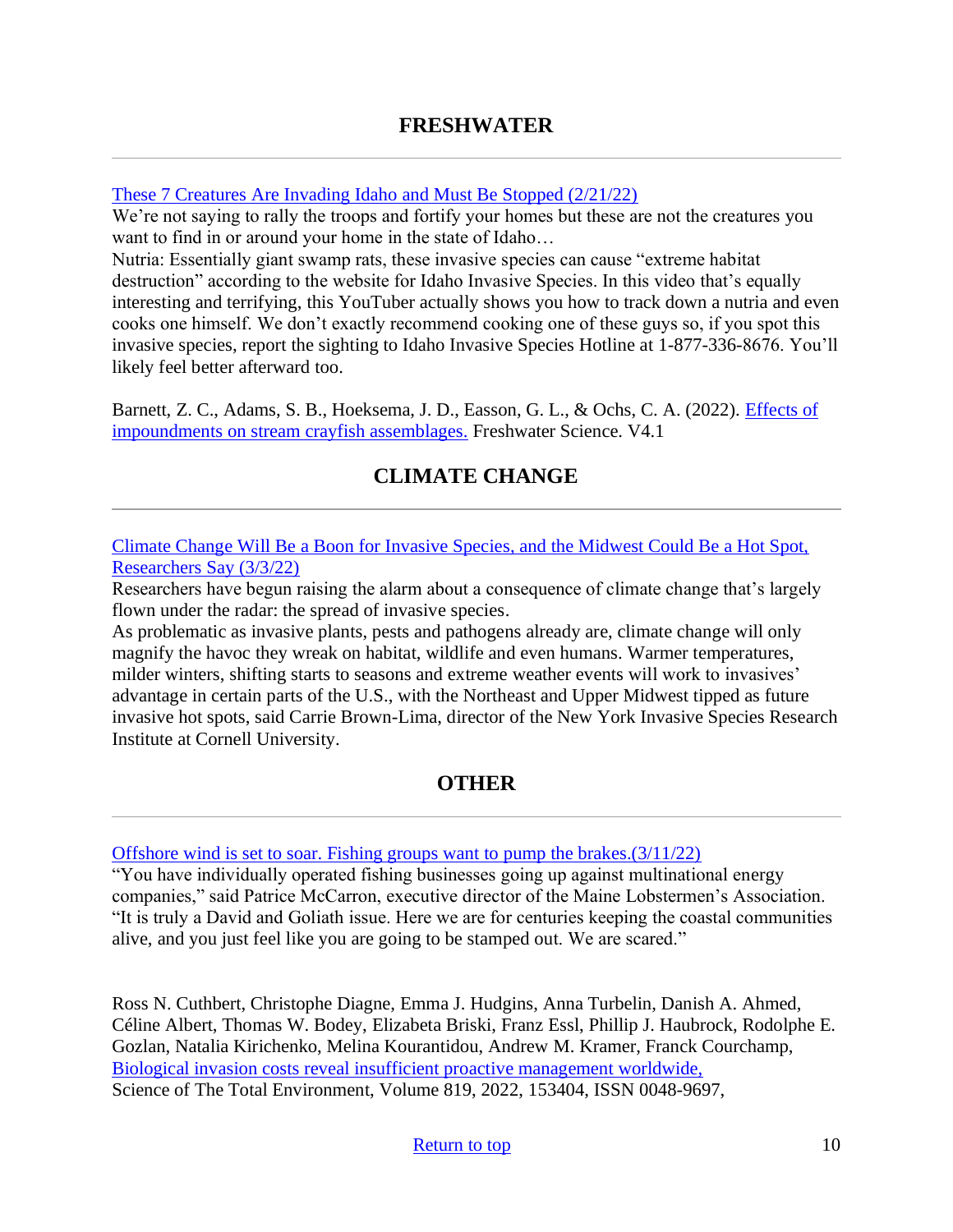#### <span id="page-9-0"></span>[These 7 Creatures Are Invading Idaho and Must Be Stopped \(2/21/22\)](https://kidotalkradio.com/these-7-creatures-are-invading-idaho-and-must-be-stopped/)

We're not saying to rally the troops and fortify your homes but these are not the creatures you want to find in or around your home in the state of Idaho…

Nutria: Essentially giant swamp rats, these invasive species can cause "extreme habitat destruction" according to the website for Idaho Invasive Species. In this video that's equally interesting and terrifying, this YouTuber actually shows you how to track down a nutria and even cooks one himself. We don't exactly recommend cooking one of these guys so, if you spot this invasive species, report the sighting to Idaho Invasive Species Hotline at 1-877-336-8676. You'll likely feel better afterward too.

<span id="page-9-1"></span>Barnett, Z. C., Adams, S. B., Hoeksema, J. D., Easson, G. L., & Ochs, C. A. (2022). [Effects of](https://www.journals.uchicago.edu/doi/abs/10.1086/719051?journalCode=fws&utm_medium=email&utm_source=govdelivery)  [impoundments on stream crayfish assemblages.](https://www.journals.uchicago.edu/doi/abs/10.1086/719051?journalCode=fws&utm_medium=email&utm_source=govdelivery) Freshwater Science. V4.1

# **CLIMATE CHANGE**

[Climate Change Will Be a Boon for Invasive Species, and the Midwest Could Be a Hot Spot,](https://news.wttw.com/2022/03/03/climate-change-will-be-boon-invasive-species-and-midwest-could-be-hot-spot-researchers)  [Researchers Say \(3/3/22\)](https://news.wttw.com/2022/03/03/climate-change-will-be-boon-invasive-species-and-midwest-could-be-hot-spot-researchers)

Researchers have begun raising the alarm about a consequence of climate change that's largely flown under the radar: the spread of invasive species.

As problematic as invasive plants, pests and pathogens already are, climate change will only magnify the havoc they wreak on habitat, wildlife and even humans. Warmer temperatures, milder winters, shifting starts to seasons and extreme weather events will work to invasives' advantage in certain parts of the U.S., with the Northeast and Upper Midwest tipped as future invasive hot spots, said Carrie Brown-Lima, director of the New York Invasive Species Research Institute at Cornell University.

# **OTHER**

<span id="page-9-2"></span>[Offshore wind is set to soar. Fishing groups want to pump the brakes.\(3/11/22\)](https://www.politico.com/news/2022/03/11/offshore-wind-fishing-groups-00016469)

"You have individually operated fishing businesses going up against multinational energy companies," said Patrice McCarron, executive director of the Maine Lobstermen's Association. "It is truly a David and Goliath issue. Here we are for centuries keeping the coastal communities alive, and you just feel like you are going to be stamped out. We are scared."

Ross N. Cuthbert, Christophe Diagne, Emma J. Hudgins, Anna Turbelin, Danish A. Ahmed, Céline Albert, Thomas W. Bodey, Elizabeta Briski, Franz Essl, Phillip J. Haubrock, Rodolphe E. Gozlan, Natalia Kirichenko, Melina Kourantidou, Andrew M. Kramer, Franck Courchamp, [Biological invasion costs reveal insufficient proactive management worldwide,](https://www.sciencedirect.com/science/article/pii/S004896972200496X?via%3Dihub) Science of The Total Environment, Volume 819, 2022, 153404, ISSN 0048-9697,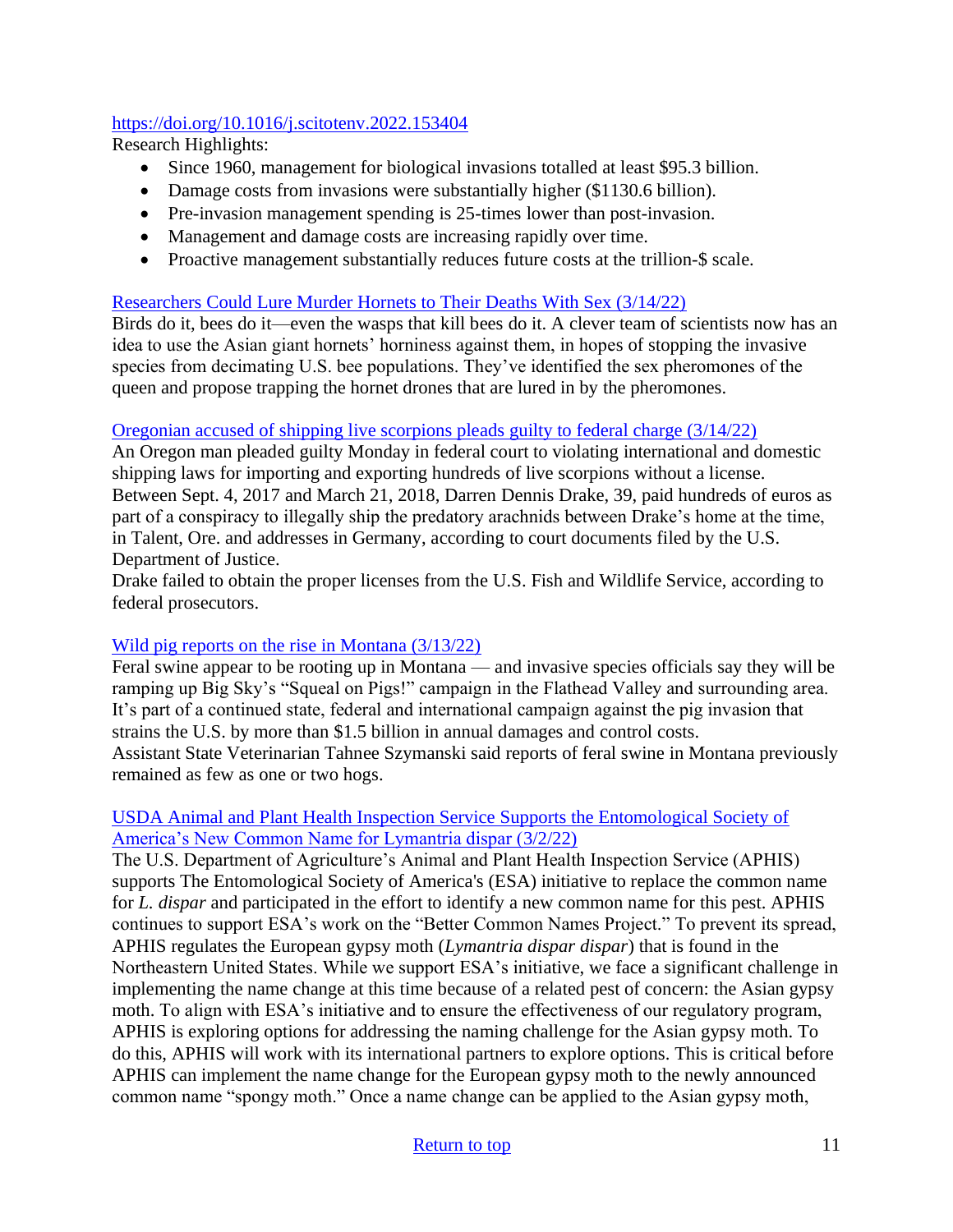## <https://doi.org/10.1016/j.scitotenv.2022.153404>

Research Highlights:

- Since 1960, management for biological invasions totalled at least \$95.3 billion.
- Damage costs from invasions were substantially higher (\$1130.6 billion).
- Pre-invasion management spending is 25-times lower than post-invasion.
- Management and damage costs are increasing rapidly over time.
- Proactive management substantially reduces future costs at the trillion-\$ scale.

## [Researchers Could Lure Murder Hornets to Their Deaths With Sex \(3/14/22\)](https://gizmodo.com/researchers-could-lure-murder-hornets-to-their-deaths-w-1848642113?utm_campaign=Gizmodo&utm_content&utm_medium=SocialMarketing&utm_source=facebook&fbclid=IwAR1QjiwCNEfkXzD1_Kw8pc3NMoh4V5Z63mpfvOLeTdNWO2nNThLwk9n8dsE)

Birds do it, bees do it—even the wasps that kill bees do it. A clever team of scientists now has an idea to use the Asian giant hornets' horniness against them, in hopes of stopping the invasive species from decimating U.S. bee populations. They've identified the sex pheromones of the queen and propose trapping the hornet drones that are lured in by the pheromones.

#### [Oregonian accused of shipping live scorpions pleads guilty to federal charge \(3/14/22\)](https://www.opb.org/article/2022/03/14/oregonian-accused-of-shipping-live-scorpions-pleads-guilty-to-federal-charge/?fbclid=IwAR2asnByHT-fYtfZJQxrN4GylD2ekPlFa8M-n8FcPj6M03HypYOAwKLn2SY)

An Oregon man pleaded guilty Monday in federal court to violating international and domestic shipping laws for importing and exporting hundreds of live scorpions without a license. Between Sept. 4, 2017 and March 21, 2018, Darren Dennis Drake, 39, paid hundreds of euros as part of a conspiracy to illegally ship the predatory arachnids between Drake's home at the time, in Talent, Ore. and addresses in Germany, according to court documents filed by the U.S. Department of Justice.

Drake failed to obtain the proper licenses from the U.S. Fish and Wildlife Service, according to federal prosecutors.

## [Wild pig reports on the rise in Montana \(3/13/22\)](https://dailyinterlake.com/news/2022/mar/13/0313-feral-hogs/)

Feral swine appear to be rooting up in Montana — and invasive species officials say they will be ramping up Big Sky's "Squeal on Pigs!" campaign in the Flathead Valley and surrounding area. It's part of a continued state, federal and international campaign against the pig invasion that strains the U.S. by more than \$1.5 billion in annual damages and control costs. Assistant State Veterinarian Tahnee Szymanski said reports of feral swine in Montana previously remained as few as one or two hogs.

## [USDA Animal and Plant Health Inspection Service Supports the Entomological Society of](https://www.aphis.usda.gov/aphis/newsroom/stakeholder-info/stakeholder-messages/plant-health-news/esa?utm_source=feedburner&utm_medium=email)  [America's New Common Name for Lymantria dispar \(3/2/22\)](https://www.aphis.usda.gov/aphis/newsroom/stakeholder-info/stakeholder-messages/plant-health-news/esa?utm_source=feedburner&utm_medium=email)

The U.S. Department of Agriculture's Animal and Plant Health Inspection Service (APHIS) supports The Entomological Society of America's (ESA) initiative to replace the common name for *L. dispar* and participated in the effort to identify a new common name for this pest. APHIS continues to support ESA's work on the "Better Common Names Project." To prevent its spread, APHIS regulates the European gypsy moth (*Lymantria dispar dispar*) that is found in the Northeastern United States. While we support ESA's initiative, we face a significant challenge in implementing the name change at this time because of a related pest of concern: the Asian gypsy moth. To align with ESA's initiative and to ensure the effectiveness of our regulatory program, APHIS is exploring options for addressing the naming challenge for the Asian gypsy moth. To do this, APHIS will work with its international partners to explore options. This is critical before APHIS can implement the name change for the European gypsy moth to the newly announced common name "spongy moth." Once a name change can be applied to the Asian gypsy moth,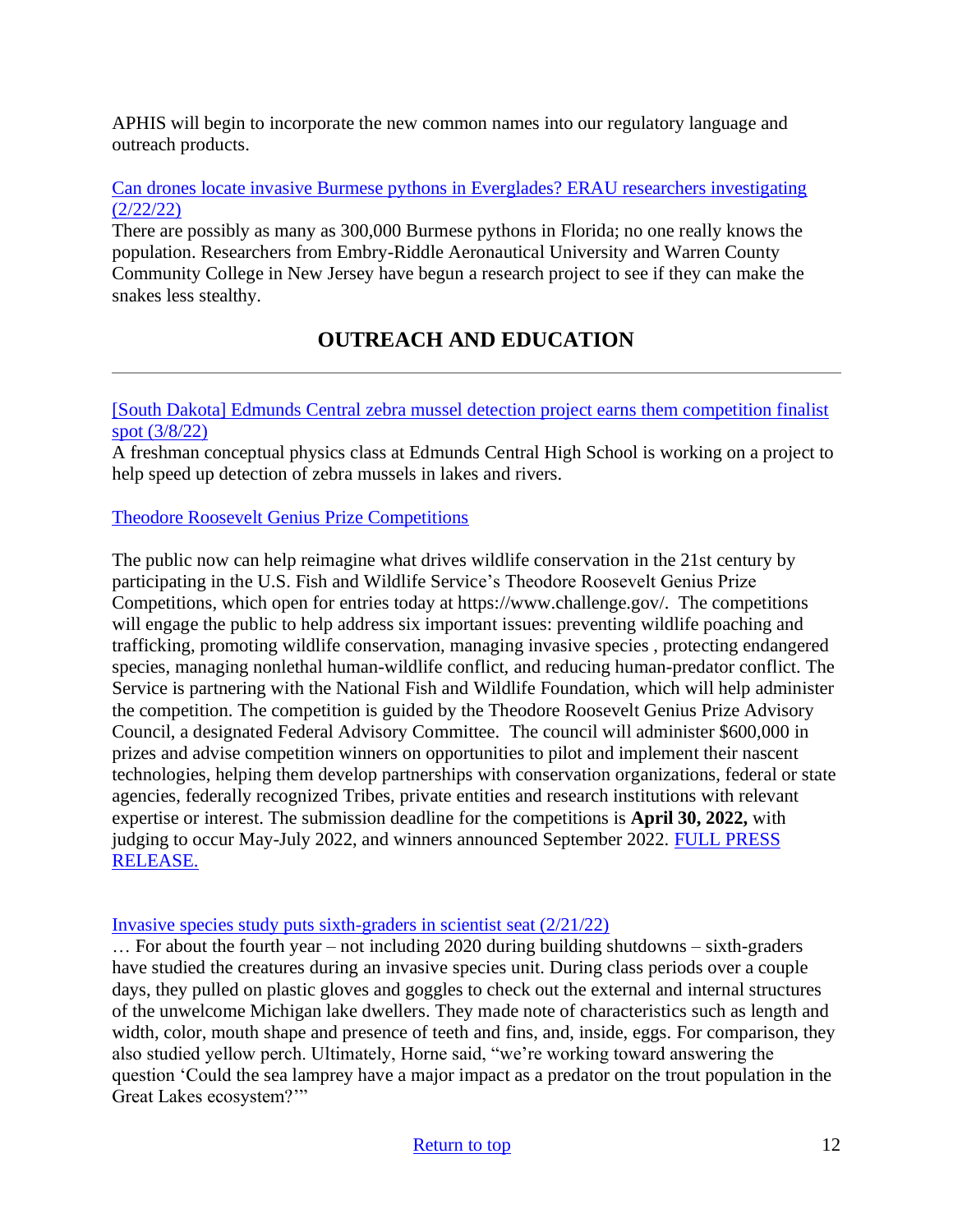APHIS will begin to incorporate the new common names into our regulatory language and outreach products.

#### [Can drones locate invasive Burmese pythons in Everglades? ERAU researchers investigating](https://www.news-journalonline.com/story/news/state/2022/02/22/erau-researchers-deploy-drones-pursuing-burmese-pythons-everglades/6828056001/)  [\(2/22/22\)](https://www.news-journalonline.com/story/news/state/2022/02/22/erau-researchers-deploy-drones-pursuing-burmese-pythons-everglades/6828056001/)

There are possibly as many as 300,000 Burmese pythons in Florida; no one really knows the population. Researchers from Embry-Riddle Aeronautical University and Warren County Community College in New Jersey have begun a research project to see if they can make the snakes less stealthy.

# <span id="page-11-0"></span>**OUTREACH AND EDUCATION**

#### [\[South Dakota\] Edmunds Central zebra mussel detection project earns them competition finalist](https://www.dakotanewsnow.com/2022/03/08/edmunds-central-zebra-mussel-detection-project-earns-them-competition-finalist-spot/)  [spot \(3/8/22\)](https://www.dakotanewsnow.com/2022/03/08/edmunds-central-zebra-mussel-detection-project-earns-them-competition-finalist-spot/)

A freshman conceptual physics class at Edmunds Central High School is working on a project to help speed up detection of zebra mussels in lakes and rivers.

## [Theodore Roosevelt Genius Prize Competitions](https://www.fws.gov/press-release/2022-03/innovation-conservation-theodore-roosevelt-genius-prize-competitions-engage?utm_medium=email&utm_source=govdelivery)

The public now can help reimagine what drives wildlife conservation in the 21st century by participating in the U.S. Fish and Wildlife Service's Theodore Roosevelt Genius Prize Competitions, which open for entries today at https://www.challenge.gov/. The competitions will engage the public to help address six important issues: preventing wildlife poaching and trafficking, promoting wildlife conservation, managing invasive species , protecting endangered species, managing nonlethal human-wildlife conflict, and reducing human-predator conflict. The Service is partnering with the National Fish and Wildlife Foundation, which will help administer the competition. The competition is guided by the Theodore Roosevelt Genius Prize Advisory Council, a designated Federal Advisory Committee. The council will administer \$600,000 in prizes and advise competition winners on opportunities to pilot and implement their nascent technologies, helping them develop partnerships with conservation organizations, federal or state agencies, federally recognized Tribes, private entities and research institutions with relevant expertise or interest. The submission deadline for the competitions is **April 30, 2022,** with judging to occur May-July 2022, and winners announced September 2022. [FULL PRESS](https://www.fws.gov/press-release/2022-03/innovation-conservation-theodore-roosevelt-genius-prize-competitions-engage?utm_medium=email&utm_source=govdelivery)  [RELEASE.](https://www.fws.gov/press-release/2022-03/innovation-conservation-theodore-roosevelt-genius-prize-competitions-engage?utm_medium=email&utm_source=govdelivery)

## [Invasive species study puts sixth-graders in scientist seat \(2/21/22\)](https://www.schoolnewsnetwork.org/2022/02/21/invasive-species-study-puts-sixth-graders-in-scientist-seat/)

… For about the fourth year – not including 2020 during building shutdowns – sixth-graders have studied the creatures during an invasive species unit. During class periods over a couple days, they pulled on plastic gloves and goggles to check out the external and internal structures of the unwelcome Michigan lake dwellers. They made note of characteristics such as length and width, color, mouth shape and presence of teeth and fins, and, inside, eggs. For comparison, they also studied yellow perch. Ultimately, Horne said, "we're working toward answering the question 'Could the sea lamprey have a major impact as a predator on the trout population in the Great Lakes ecosystem?'"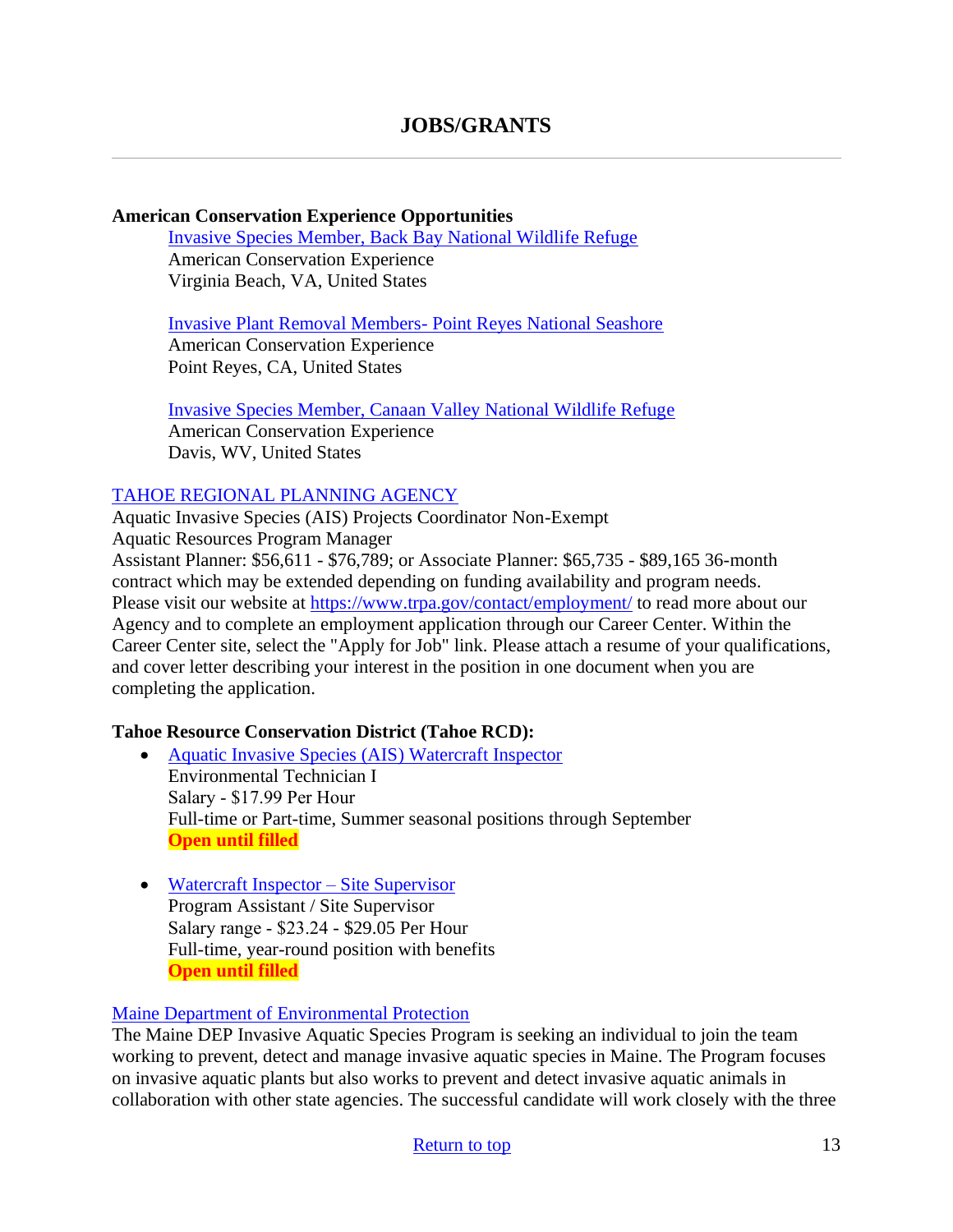#### **American Conservation Experience Opportunities**

[Invasive Species Member, Back Bay National Wildlife Refuge](https://careers.wildlife.org/jobs/view/invasive-species-member-back-bay-national-wildlife-refuge/62052972/?utm_term=2&utm_medium=email&utm_source=daily-alert&utm_campaign=job-alert-email-8764&utm_content=position-title) American Conservation Experience Virginia Beach, VA, United States

[Invasive Plant Removal Members-](https://careers.wildlife.org/jobs/view/invasive-plant-removal-members-point-reyes-national-seashore/62053225/?utm_term=2&utm_medium=email&utm_source=daily-alert&utm_campaign=job-alert-email-8764&utm_content=position-title) Point Reyes National Seashore American Conservation Experience Point Reyes, CA, United States

#### [Invasive Species Member, Canaan Valley National Wildlife Refuge](https://careers.wildlife.org/jobs/view/invasive-species-member-canaan-valley-national-wildlife-refuge/62071763/?utm_term=2&utm_medium=email&utm_source=daily-alert&utm_campaign=job-alert-email-8764&utm_content=position-title)

American Conservation Experience Davis, WV, United States

#### [TAHOE REGIONAL PLANNING AGENCY](https://www.trpa.gov/wp-content/uploads/AIS-Projects-Coordinator-Job-Description.pdf)

Aquatic Invasive Species (AIS) Projects Coordinator Non-Exempt Aquatic Resources Program Manager Assistant Planner: \$56,611 - \$76,789; or Associate Planner: \$65,735 - \$89,165 36-month contract which may be extended depending on funding availability and program needs. Please visit our website at<https://www.trpa.gov/contact/employment/> to read more about our Agency and to complete an employment application through our Career Center. Within the Career Center site, select the "Apply for Job" link. Please attach a resume of your qualifications, and cover letter describing your interest in the position in one document when you are completing the application.

#### **Tahoe Resource Conservation District (Tahoe RCD):**

- [Aquatic Invasive Species \(AIS\) Watercraft Inspector](https://tahoercd.org/wp-content/uploads/2022/02/Watercraft-Inspector_2022.pdf) Environmental Technician I Salary ‐ \$17.99 Per Hour Full-time or Part-time, Summer seasonal positions through September **Open until filled**
- [Watercraft Inspector –](https://tahoercd.org/wp-content/uploads/2022/02/AIS-Site-Supervisor_2022.pdf) Site Supervisor Program Assistant / Site Supervisor Salary range ‐ \$23.24 - \$29.05 Per Hour Full-time, year-round position with benefits **Open until filled**

## [Maine Department of Environmental Protection](https://www.maine.gov/nrsc/jobs/index.shtml#dep)

The Maine DEP Invasive Aquatic Species Program is seeking an individual to join the team working to prevent, detect and manage invasive aquatic species in Maine. The Program focuses on invasive aquatic plants but also works to prevent and detect invasive aquatic animals in collaboration with other state agencies. The successful candidate will work closely with the three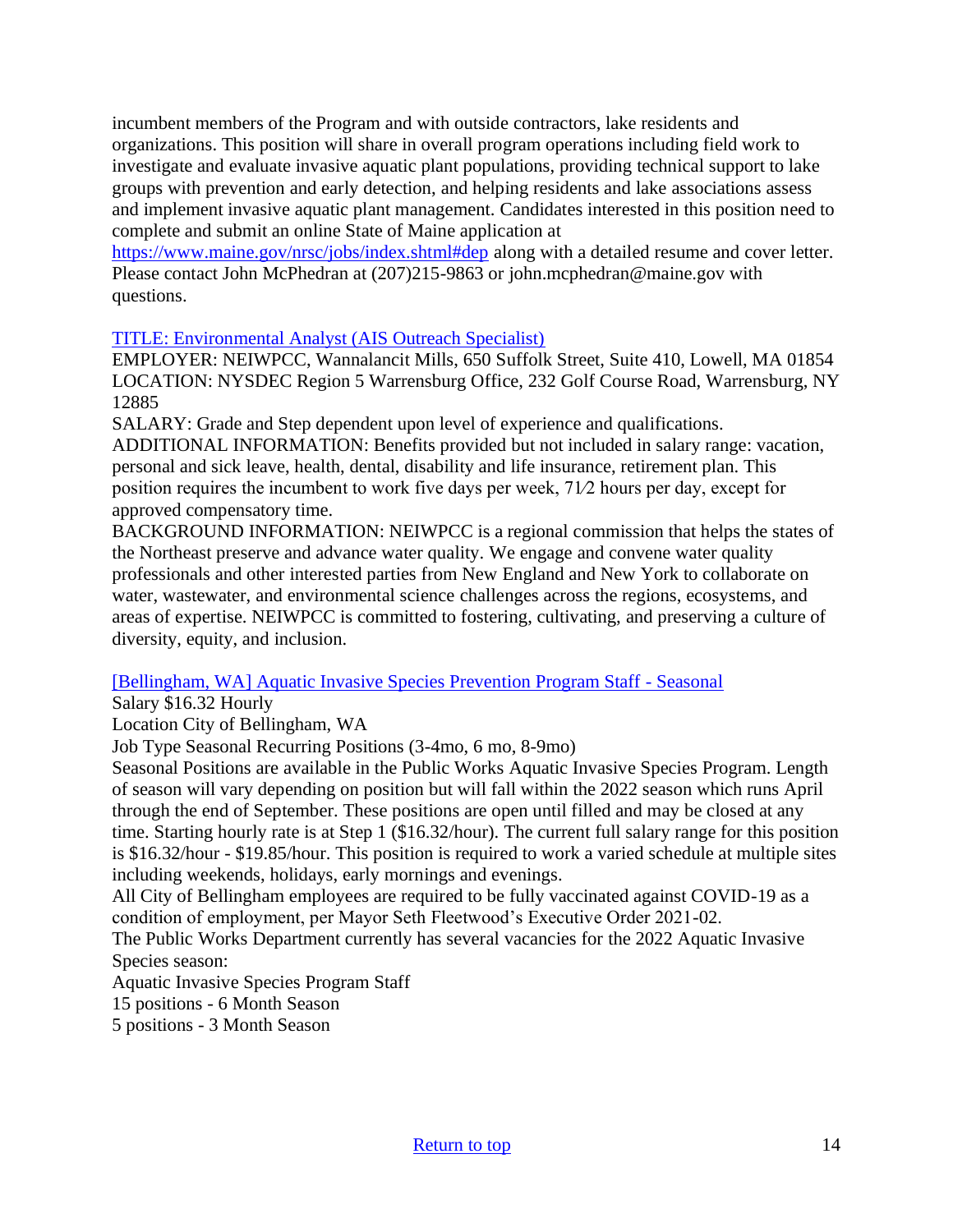incumbent members of the Program and with outside contractors, lake residents and organizations. This position will share in overall program operations including field work to investigate and evaluate invasive aquatic plant populations, providing technical support to lake groups with prevention and early detection, and helping residents and lake associations assess and implement invasive aquatic plant management. Candidates interested in this position need to complete and submit an online State of Maine application at

<https://www.maine.gov/nrsc/jobs/index.shtml#dep> along with a detailed resume and cover letter. Please contact John McPhedran at (207)215-9863 or john.mcphedran@maine.gov with questions.

#### [TITLE: Environmental Analyst \(AIS Outreach Specialist\)](https://neiwpcc.org/wp-content/uploads/2022/03/EA-LCBP-AIS-Outreach.pdf?utm_medium=email&utm_source=govdelivery)

EMPLOYER: NEIWPCC, Wannalancit Mills, 650 Suffolk Street, Suite 410, Lowell, MA 01854 LOCATION: NYSDEC Region 5 Warrensburg Office, 232 Golf Course Road, Warrensburg, NY 12885

SALARY: Grade and Step dependent upon level of experience and qualifications.

ADDITIONAL INFORMATION: Benefits provided but not included in salary range: vacation, personal and sick leave, health, dental, disability and life insurance, retirement plan. This position requires the incumbent to work five days per week, 71⁄2 hours per day, except for approved compensatory time.

BACKGROUND INFORMATION: NEIWPCC is a regional commission that helps the states of the Northeast preserve and advance water quality. We engage and convene water quality professionals and other interested parties from New England and New York to collaborate on water, wastewater, and environmental science challenges across the regions, ecosystems, and areas of expertise. NEIWPCC is committed to fostering, cultivating, and preserving a culture of diversity, equity, and inclusion.

[\[Bellingham, WA\] Aquatic Invasive Species Prevention Program Staff -](https://www.governmentjobs.com/careers/cobwa/jobs/3392121/aquatic-invasive-species-prevention-program-staff-seasonal) Seasonal

Salary \$16.32 Hourly

Location City of Bellingham, WA

Job Type Seasonal Recurring Positions (3-4mo, 6 mo, 8-9mo)

Seasonal Positions are available in the Public Works Aquatic Invasive Species Program. Length of season will vary depending on position but will fall within the 2022 season which runs April through the end of September. These positions are open until filled and may be closed at any time. Starting hourly rate is at Step 1 (\$16.32/hour). The current full salary range for this position is \$16.32/hour - \$19.85/hour. This position is required to work a varied schedule at multiple sites including weekends, holidays, early mornings and evenings.

All City of Bellingham employees are required to be fully vaccinated against COVID-19 as a condition of employment, per Mayor Seth Fleetwood's Executive Order 2021-02.

The Public Works Department currently has several vacancies for the 2022 Aquatic Invasive Species season:

Aquatic Invasive Species Program Staff

15 positions - 6 Month Season

5 positions - 3 Month Season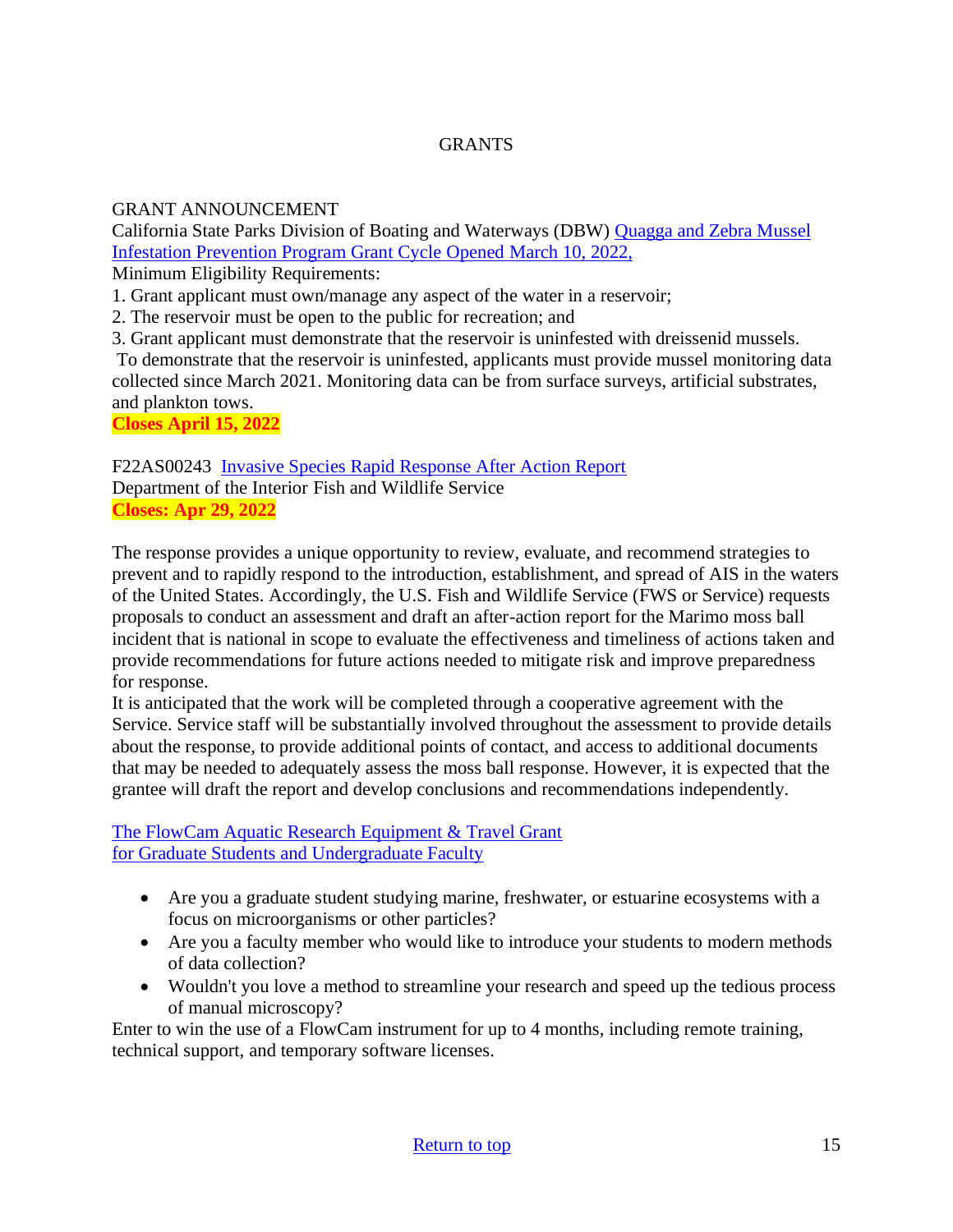# **GRANTS**

## GRANT ANNOUNCEMENT

California State Parks Division of Boating and Waterways (DBW) [Quagga and Zebra Mussel](http://dbw.parks.ca.gov/?page_id=28822)  [Infestation Prevention Program Grant Cycle Opened](http://dbw.parks.ca.gov/?page_id=28822) March 10, 2022,

Minimum Eligibility Requirements:

1. Grant applicant must own/manage any aspect of the water in a reservoir;

2. The reservoir must be open to the public for recreation; and

3. Grant applicant must demonstrate that the reservoir is uninfested with dreissenid mussels.

To demonstrate that the reservoir is uninfested, applicants must provide mussel monitoring data collected since March 2021. Monitoring data can be from surface surveys, artificial substrates, and plankton tows.

**Closes April 15, 2022**

F22AS00243 [Invasive Species Rapid Response After Action Report](https://www.grants.gov/web/grants/view-opportunity.html?oppId=338303) Department of the Interior Fish and Wildlife Service **Closes: Apr 29, 2022**

The response provides a unique opportunity to review, evaluate, and recommend strategies to prevent and to rapidly respond to the introduction, establishment, and spread of AIS in the waters of the United States. Accordingly, the U.S. Fish and Wildlife Service (FWS or Service) requests proposals to conduct an assessment and draft an after-action report for the Marimo moss ball incident that is national in scope to evaluate the effectiveness and timeliness of actions taken and provide recommendations for future actions needed to mitigate risk and improve preparedness for response.

It is anticipated that the work will be completed through a cooperative agreement with the Service. Service staff will be substantially involved throughout the assessment to provide details about the response, to provide additional points of contact, and access to additional documents that may be needed to adequately assess the moss ball response. However, it is expected that the grantee will draft the report and develop conclusions and recommendations independently.

[The FlowCam Aquatic Research Equipment & Travel Grant](https://info.fluidimaging.com/flowcam-student-grant-2022?utm_campaign=FlowCam%20Student%20Grant%20Program%20-%202022&utm_medium=email&_hsmi=201999501&_hsenc=p2ANqtz-8ocExbgopRtkyNWxi0ljPjBorrFvK_wIwUD_KR7epglcNO-AO_DQ4NmoDkrNWY7LVtQd1Pk4pv8bA1I0u-TD5hWn2IAw&utm_content=201914302&utm_source=hs_email) [for Graduate Students and Undergraduate Faculty](https://info.fluidimaging.com/flowcam-student-grant-2022?utm_campaign=FlowCam%20Student%20Grant%20Program%20-%202022&utm_medium=email&_hsmi=201999501&_hsenc=p2ANqtz-8ocExbgopRtkyNWxi0ljPjBorrFvK_wIwUD_KR7epglcNO-AO_DQ4NmoDkrNWY7LVtQd1Pk4pv8bA1I0u-TD5hWn2IAw&utm_content=201914302&utm_source=hs_email)

- Are you a graduate student studying marine, freshwater, or estuarine ecosystems with a focus on microorganisms or other particles?
- Are you a faculty member who would like to introduce your students to modern methods of data collection?
- Wouldn't you love a method to streamline your research and speed up the tedious process of manual microscopy?

Enter to win the use of a FlowCam instrument for up to 4 months, including remote training, technical support, and temporary software licenses.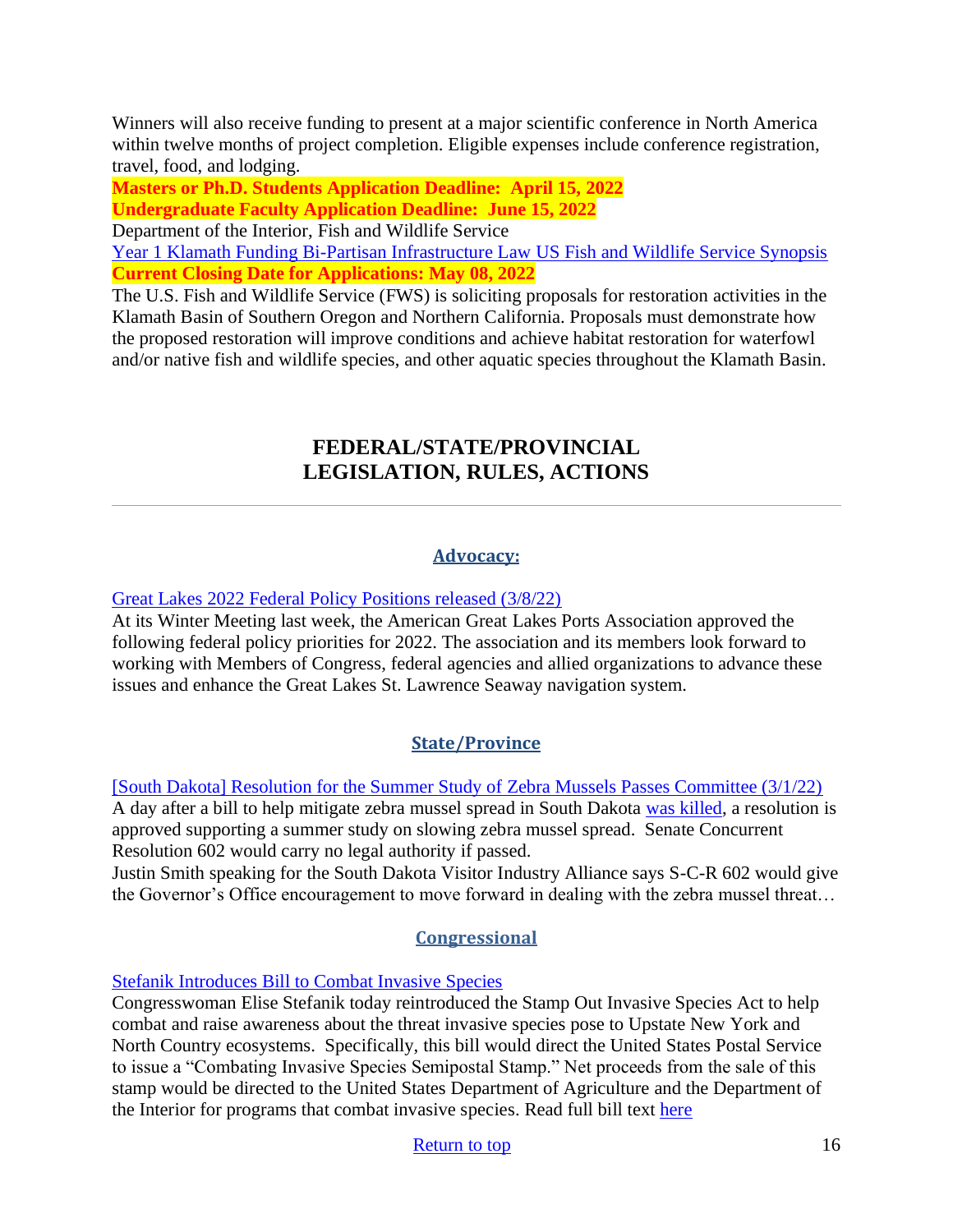Winners will also receive funding to present at a major scientific conference in North America within twelve months of project completion. Eligible expenses include conference registration, travel, food, and lodging.

**Masters or Ph.D. Students Application Deadline: April 15, 2022 Undergraduate Faculty Application Deadline: June 15, 2022**

Department of the Interior, Fish and Wildlife Service

[Year 1 Klamath Funding Bi-Partisan Infrastructure Law](https://www.grants.gov/web/grants/view-opportunity.html?oppId=338570) US Fish and Wildlife Service Synopsis **Current Closing Date for Applications: May 08, 2022** 

<span id="page-15-0"></span>The U.S. Fish and Wildlife Service (FWS) is soliciting proposals for restoration activities in the Klamath Basin of Southern Oregon and Northern California. Proposals must demonstrate how the proposed restoration will improve conditions and achieve habitat restoration for waterfowl and/or native fish and wildlife species, and other aquatic species throughout the Klamath Basin.

# **FEDERAL/STATE/PROVINCIAL LEGISLATION, RULES, ACTIONS**

# **Advocacy:**

[Great Lakes 2022 Federal Policy Positions released \(3/8/22\)](https://ajot.com/news/great-lakes-2022-federal-policy-positions-released)

At its Winter Meeting last week, the American Great Lakes Ports Association approved the following federal policy priorities for 2022. The association and its members look forward to working with Members of Congress, federal agencies and allied organizations to advance these issues and enhance the Great Lakes St. Lawrence Seaway navigation system.

# **State/Province**

[\[South Dakota\] Resolution for the Summer Study of Zebra Mussels Passes Committee \(3/1/22\)](https://www.mykxlg.com/news/state/resolution-for-the-summer-study-of-zebra-mussels-passes-committee/article_0240737a-99a2-11ec-86bd-6f057241ec07.html) A day after a bill to help mitigate zebra mussel spread in South Dakota [was killed,](https://www.mykxlg.com/news/state/zebra-mussel-cleaning-stations-bill-killed-in-committee/article_a0d6aff4-995c-11ec-8a60-3b96c8a382d9.html) a resolution is approved supporting a summer study on slowing zebra mussel spread. Senate Concurrent Resolution 602 would carry no legal authority if passed.

Justin Smith speaking for the South Dakota Visitor Industry Alliance says S-C-R 602 would give the Governor's Office encouragement to move forward in dealing with the zebra mussel threat…

# **Congressional**

# [Stefanik Introduces Bill to Combat Invasive Species](https://stefanik.house.gov/2022/3/stefanik-introduces-bill-to-combat-invasive-species)

Congresswoman Elise Stefanik today reintroduced the Stamp Out Invasive Species Act to help combat and raise awareness about the threat invasive species pose to Upstate New York and North Country ecosystems. Specifically, this bill would direct the United States Postal Service to issue a "Combating Invasive Species Semipostal Stamp." Net proceeds from the sale of this stamp would be directed to the United States Department of Agriculture and the Department of the Interior for programs that combat invasive species. Read full bill text [here](https://stefanik.house.gov/_cache/files/8/f/8f642a08-4b73-495c-b5d7-5b6d757544de/DF20795ECFCBA8001AEC2A9666C957CE.invasive-species.pdf)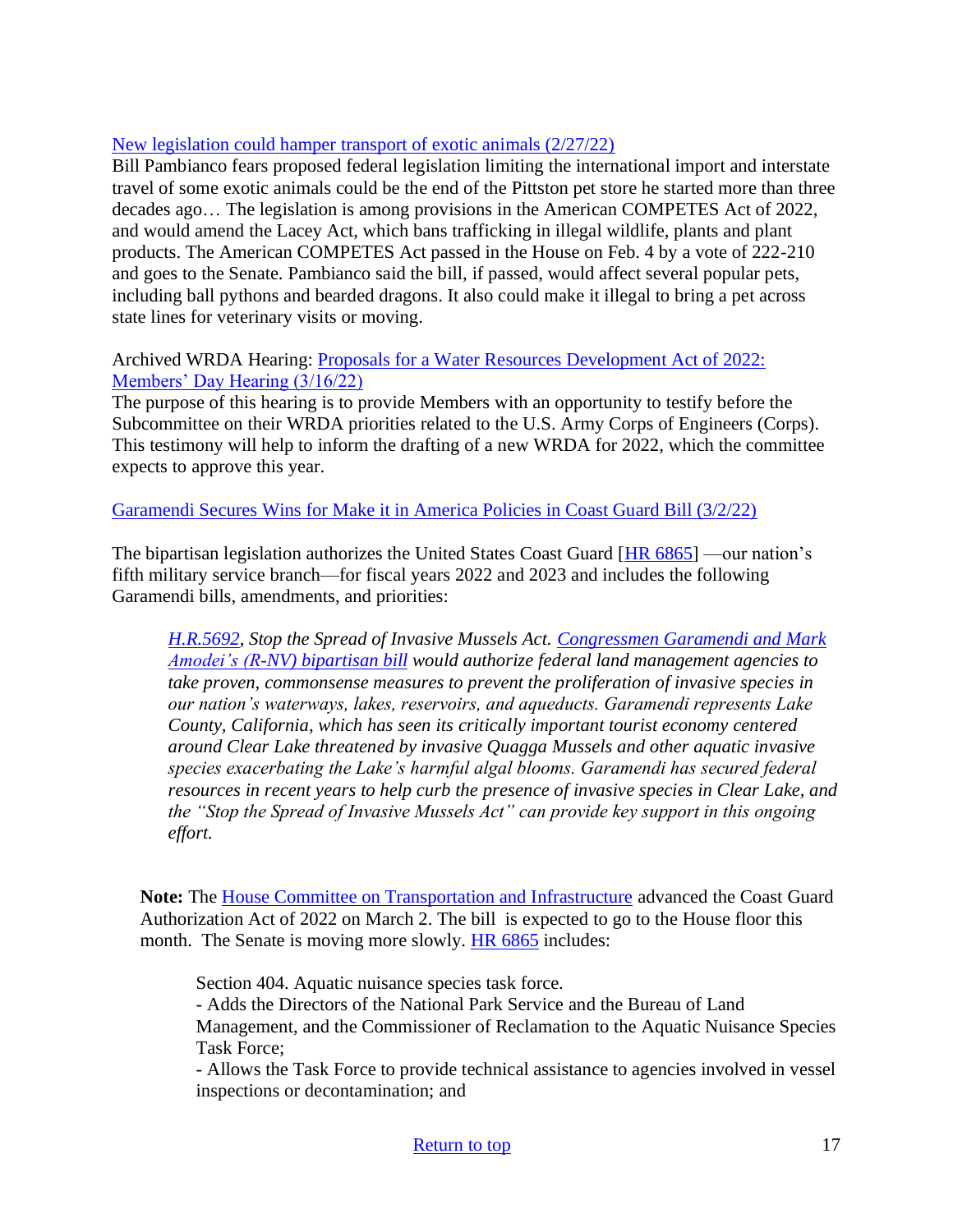## [New legislation could hamper transport of exotic animals \(2/27/22\)](https://www.standardspeaker.com/news/business/new-legislation-could-hamper-transport-of-exotic-animals/article_70070f25-9a43-52c3-886b-dda9455f4cfe.html)

Bill Pambianco fears proposed federal legislation limiting the international import and interstate travel of some exotic animals could be the end of the Pittston pet store he started more than three decades ago… The legislation is among provisions in the American COMPETES Act of 2022, and would amend the Lacey Act, which bans trafficking in illegal wildlife, plants and plant products. The American COMPETES Act passed in the House on Feb. 4 by a vote of 222-210 and goes to the Senate. Pambianco said the bill, if passed, would affect several popular pets, including ball pythons and bearded dragons. It also could make it illegal to bring a pet across state lines for veterinary visits or moving.

## Archived WRDA Hearing: [Proposals for a Water Resources Development Act of 2022:](https://transportation.house.gov/committee-activity/hearings/proposals-for-a-water-resources-development-act-of-2022-members-day-hearing)  [Members' Day Hearing \(3/16/22\)](https://transportation.house.gov/committee-activity/hearings/proposals-for-a-water-resources-development-act-of-2022-members-day-hearing)

The purpose of this hearing is to provide Members with an opportunity to testify before the Subcommittee on their WRDA priorities related to the U.S. Army Corps of Engineers (Corps). This testimony will help to inform the drafting of a new WRDA for 2022, which the committee expects to approve this year.

## [Garamendi Secures Wins for Make it in America Policies in Coast Guard Bill \(3/2/22\)](https://garamendi.house.gov/media/press-releases/garamendi-secures-wins-make-it-america-policies-coast-guard-bill)

The bipartisan legislation authorizes the United States Coast Guard [\[HR 6865\]](https://www.congress.gov/bill/117th-congress/house-bill/6865) —our nation's fifth military service branch—for fiscal years 2022 and 2023 and includes the following Garamendi bills, amendments, and priorities:

*[H.R.5692,](https://www.congress.gov/bill/117th-congress/house-bill/5692) Stop the Spread of Invasive Mussels Act. [Congressmen Garamendi and Mark](https://garamendi.house.gov/media/press-releases/garamendi-amodei-introduce-bipartisan-bill-stop-spread-aquatic-invasive-species#:~:text=Garamendi%20(D%2DCA)%20said.&text=%E2%80%9CThe%20best%20defense%20against%20spreading,to%20another%2C%E2%80%9D%20Garamendi%20continued.)  [Amodei's \(R-NV\) bipartisan bill](https://garamendi.house.gov/media/press-releases/garamendi-amodei-introduce-bipartisan-bill-stop-spread-aquatic-invasive-species#:~:text=Garamendi%20(D%2DCA)%20said.&text=%E2%80%9CThe%20best%20defense%20against%20spreading,to%20another%2C%E2%80%9D%20Garamendi%20continued.) would authorize federal land management agencies to take proven, commonsense measures to prevent the proliferation of invasive species in our nation's waterways, lakes, reservoirs, and aqueducts. Garamendi represents Lake County, California, which has seen its critically important tourist economy centered around Clear Lake threatened by invasive Quagga Mussels and other aquatic invasive species exacerbating the Lake's harmful algal blooms. Garamendi has secured federal resources in recent years to help curb the presence of invasive species in Clear Lake, and the "Stop the Spread of Invasive Mussels Act" can provide key support in this ongoing effort.*

Note: The **House Committee on Transportation and Infrastructure** advanced the Coast Guard Authorization Act of 2022 on March 2. The bill is expected to go to the House floor this month. The Senate is moving more slowly. [HR 6865](https://www.congress.gov/bill/117th-congress/house-bill/6865) includes:

Section 404. Aquatic nuisance species task force.

- Adds the Directors of the National Park Service and the Bureau of Land Management, and the Commissioner of Reclamation to the Aquatic Nuisance Species Task Force;

- Allows the Task Force to provide technical assistance to agencies involved in vessel inspections or decontamination; and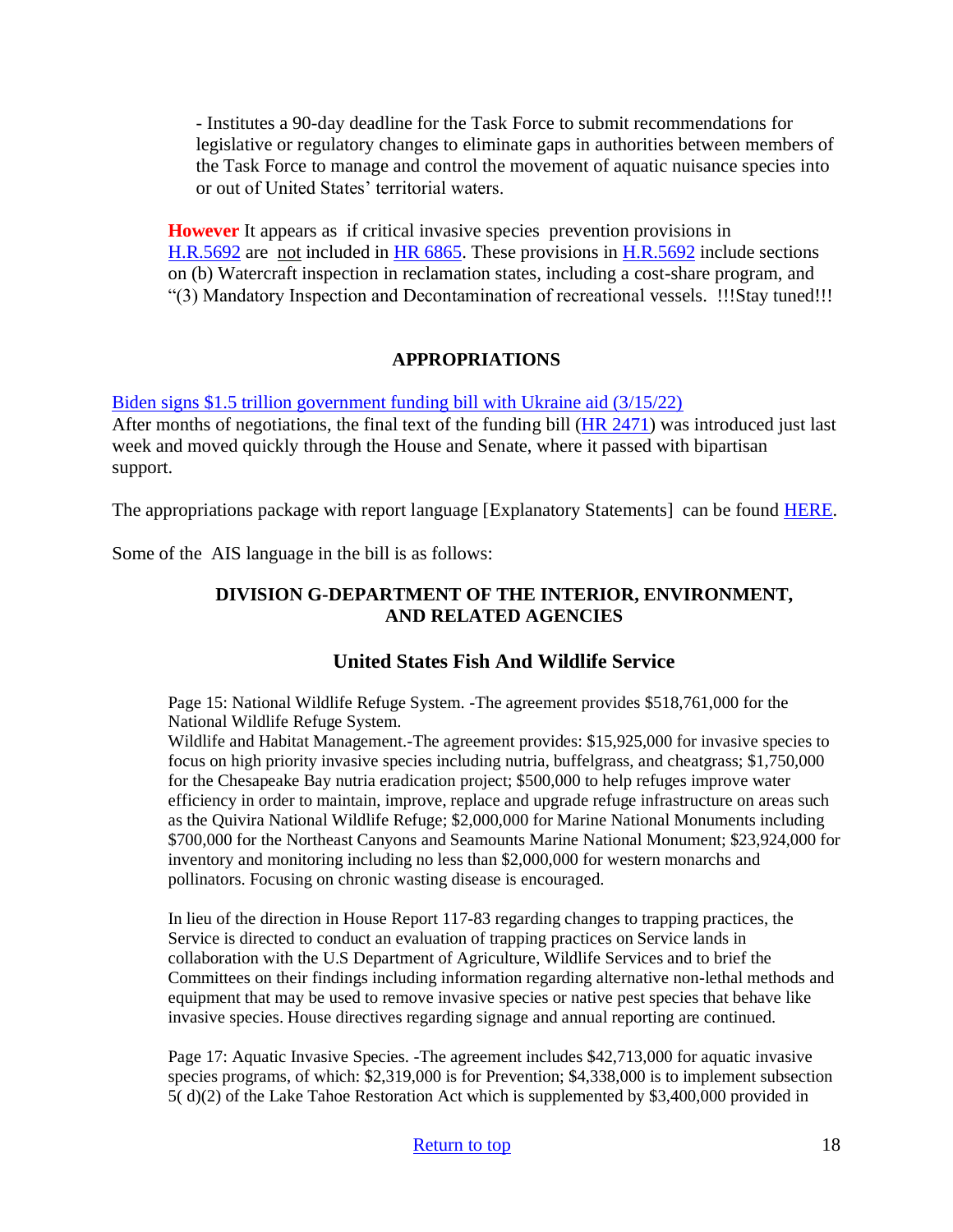- Institutes a 90-day deadline for the Task Force to submit recommendations for legislative or regulatory changes to eliminate gaps in authorities between members of the Task Force to manage and control the movement of aquatic nuisance species into or out of United States' territorial waters.

**However** It appears as if critical invasive species prevention provisions in [H.R.5692](https://www.congress.gov/bill/117th-congress/house-bill/5692) are not included in [HR 6865.](https://www.congress.gov/bill/117th-congress/house-bill/6865) These provisions in [H.R.5692](https://www.congress.gov/bill/117th-congress/house-bill/5692) include sections on (b) Watercraft inspection in reclamation states, including a cost-share program, and "(3) Mandatory Inspection and Decontamination of recreational vessels. !!!Stay tuned!!!

## **APPROPRIATIONS**

[Biden signs \\$1.5 trillion government funding bill with Ukraine aid \(3/15/22\)](https://thehill.com/homenews/administration/598074-biden-signs-15-government-funding-bill-with-ukraine-aid)

After months of negotiations, the final text of the funding bill [\(HR 2471\)](https://www.congress.gov/bill/117th-congress/house-bill/2471) was introduced just last week and moved quickly through the House and Senate, where it passed with bipartisan support.

The appropriations package with report language [Explanatory Statements] can be found [HERE.](https://docs.house.gov/floor/Default.aspx?date=2022-03-07)

Some of the AIS language in the bill is as follows:

## **DIVISION G-DEPARTMENT OF THE INTERIOR, ENVIRONMENT, AND RELATED AGENCIES**

# **United States Fish And Wildlife Service**

Page 15: National Wildlife Refuge System. -The agreement provides \$518,761,000 for the National Wildlife Refuge System.

Wildlife and Habitat Management.-The agreement provides: \$15,925,000 for invasive species to focus on high priority invasive species including nutria, buffelgrass, and cheatgrass; \$1,750,000 for the Chesapeake Bay nutria eradication project; \$500,000 to help refuges improve water efficiency in order to maintain, improve, replace and upgrade refuge infrastructure on areas such as the Quivira National Wildlife Refuge; \$2,000,000 for Marine National Monuments including \$700,000 for the Northeast Canyons and Seamounts Marine National Monument; \$23,924,000 for inventory and monitoring including no less than \$2,000,000 for western monarchs and pollinators. Focusing on chronic wasting disease is encouraged.

In lieu of the direction in House Report 117-83 regarding changes to trapping practices, the Service is directed to conduct an evaluation of trapping practices on Service lands in collaboration with the U.S Department of Agriculture, Wildlife Services and to brief the Committees on their findings including information regarding alternative non-lethal methods and equipment that may be used to remove invasive species or native pest species that behave like invasive species. House directives regarding signage and annual reporting are continued.

Page 17: Aquatic Invasive Species. -The agreement includes \$42,713,000 for aquatic invasive species programs, of which: \$2,319,000 is for Prevention; \$4,338,000 is to implement subsection 5( d)(2) of the Lake Tahoe Restoration Act which is supplemented by \$3,400,000 provided in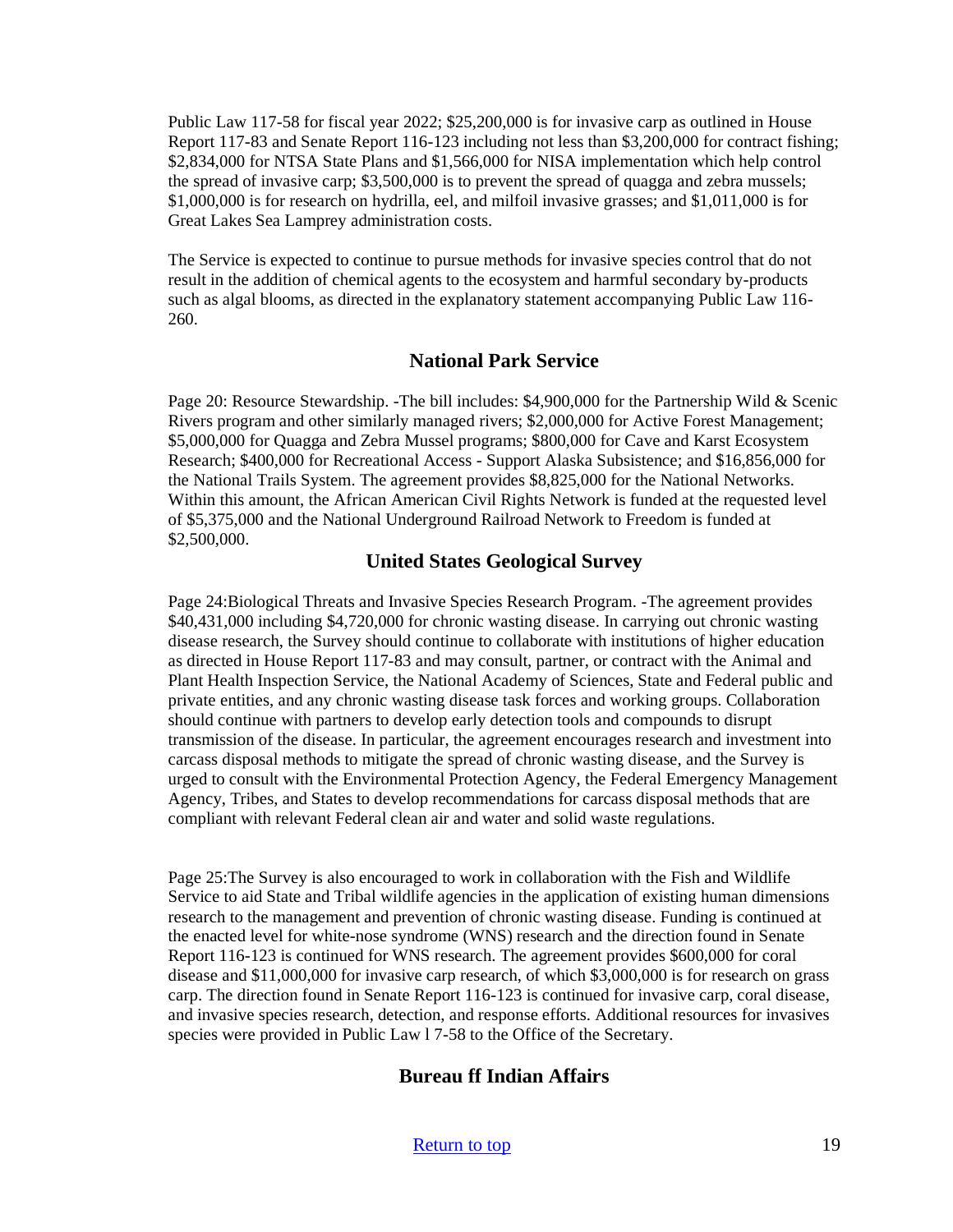Public Law 117-58 for fiscal year 2022; \$25,200,000 is for invasive carp as outlined in House Report 117-83 and Senate Report 116-123 including not less than \$3,200,000 for contract fishing; \$2,834,000 for NTSA State Plans and \$1,566,000 for NISA implementation which help control the spread of invasive carp; \$3,500,000 is to prevent the spread of quagga and zebra mussels; \$1,000,000 is for research on hydrilla, eel, and milfoil invasive grasses; and \$1,011,000 is for Great Lakes Sea Lamprey administration costs.

The Service is expected to continue to pursue methods for invasive species control that do not result in the addition of chemical agents to the ecosystem and harmful secondary by-products such as algal blooms, as directed in the explanatory statement accompanying Public Law 116- 260.

#### **National Park Service**

Page 20: Resource Stewardship. -The bill includes: \$4,900,000 for the Partnership Wild & Scenic Rivers program and other similarly managed rivers; \$2,000,000 for Active Forest Management; \$5,000,000 for Quagga and Zebra Mussel programs; \$800,000 for Cave and Karst Ecosystem Research; \$400,000 for Recreational Access - Support Alaska Subsistence; and \$16,856,000 for the National Trails System. The agreement provides \$8,825,000 for the National Networks. Within this amount, the African American Civil Rights Network is funded at the requested level of \$5,375,000 and the National Underground Railroad Network to Freedom is funded at \$2,500,000.

#### **United States Geological Survey**

Page 24:Biological Threats and Invasive Species Research Program. -The agreement provides \$40,431,000 including \$4,720,000 for chronic wasting disease. In carrying out chronic wasting disease research, the Survey should continue to collaborate with institutions of higher education as directed in House Report 117-83 and may consult, partner, or contract with the Animal and Plant Health Inspection Service, the National Academy of Sciences, State and Federal public and private entities, and any chronic wasting disease task forces and working groups. Collaboration should continue with partners to develop early detection tools and compounds to disrupt transmission of the disease. In particular, the agreement encourages research and investment into carcass disposal methods to mitigate the spread of chronic wasting disease, and the Survey is urged to consult with the Environmental Protection Agency, the Federal Emergency Management Agency, Tribes, and States to develop recommendations for carcass disposal methods that are compliant with relevant Federal clean air and water and solid waste regulations.

Page 25:The Survey is also encouraged to work in collaboration with the Fish and Wildlife Service to aid State and Tribal wildlife agencies in the application of existing human dimensions research to the management and prevention of chronic wasting disease. Funding is continued at the enacted level for white-nose syndrome (WNS) research and the direction found in Senate Report 116-123 is continued for WNS research. The agreement provides \$600,000 for coral disease and \$11,000,000 for invasive carp research, of which \$3,000,000 is for research on grass carp. The direction found in Senate Report 116-123 is continued for invasive carp, coral disease, and invasive species research, detection, and response efforts. Additional resources for invasives species were provided in Public Law l 7-58 to the Office of the Secretary.

## **Bureau ff Indian Affairs**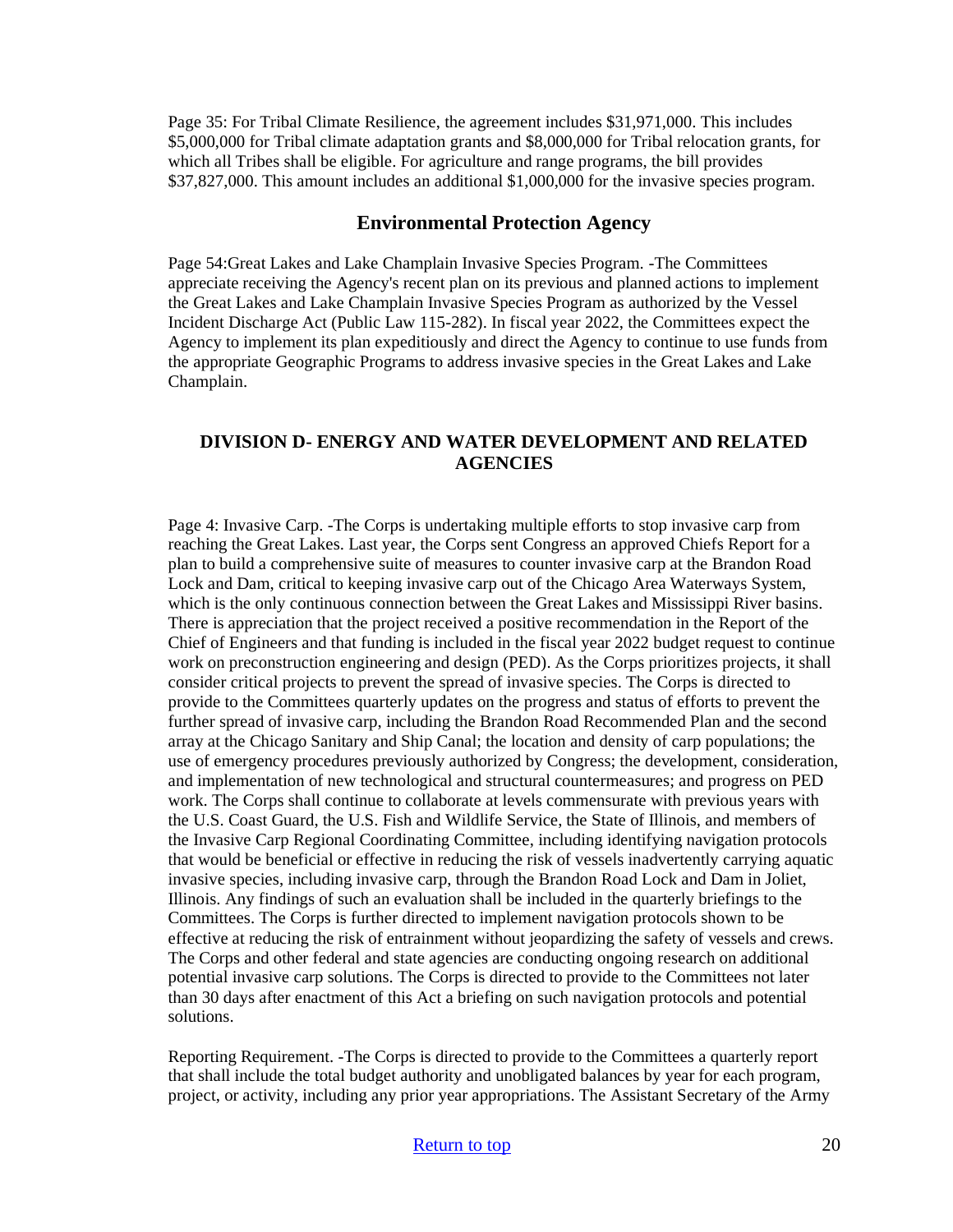Page 35: For Tribal Climate Resilience, the agreement includes \$31,971,000. This includes \$5,000,000 for Tribal climate adaptation grants and \$8,000,000 for Tribal relocation grants, for which all Tribes shall be eligible. For agriculture and range programs, the bill provides \$37,827,000. This amount includes an additional \$1,000,000 for the invasive species program.

#### **Environmental Protection Agency**

Page 54:Great Lakes and Lake Champlain Invasive Species Program. -The Committees appreciate receiving the Agency's recent plan on its previous and planned actions to implement the Great Lakes and Lake Champlain Invasive Species Program as authorized by the Vessel Incident Discharge Act (Public Law 115-282). In fiscal year 2022, the Committees expect the Agency to implement its plan expeditiously and direct the Agency to continue to use funds from the appropriate Geographic Programs to address invasive species in the Great Lakes and Lake Champlain.

#### **DIVISION D- ENERGY AND WATER DEVELOPMENT AND RELATED AGENCIES**

Page 4: Invasive Carp. -The Corps is undertaking multiple efforts to stop invasive carp from reaching the Great Lakes. Last year, the Corps sent Congress an approved Chiefs Report for a plan to build a comprehensive suite of measures to counter invasive carp at the Brandon Road Lock and Dam, critical to keeping invasive carp out of the Chicago Area Waterways System, which is the only continuous connection between the Great Lakes and Mississippi River basins. There is appreciation that the project received a positive recommendation in the Report of the Chief of Engineers and that funding is included in the fiscal year 2022 budget request to continue work on preconstruction engineering and design (PED). As the Corps prioritizes projects, it shall consider critical projects to prevent the spread of invasive species. The Corps is directed to provide to the Committees quarterly updates on the progress and status of efforts to prevent the further spread of invasive carp, including the Brandon Road Recommended Plan and the second array at the Chicago Sanitary and Ship Canal; the location and density of carp populations; the use of emergency procedures previously authorized by Congress; the development, consideration, and implementation of new technological and structural countermeasures; and progress on PED work. The Corps shall continue to collaborate at levels commensurate with previous years with the U.S. Coast Guard, the U.S. Fish and Wildlife Service, the State of Illinois, and members of the Invasive Carp Regional Coordinating Committee, including identifying navigation protocols that would be beneficial or effective in reducing the risk of vessels inadvertently carrying aquatic invasive species, including invasive carp, through the Brandon Road Lock and Dam in Joliet, Illinois. Any findings of such an evaluation shall be included in the quarterly briefings to the Committees. The Corps is further directed to implement navigation protocols shown to be effective at reducing the risk of entrainment without jeopardizing the safety of vessels and crews. The Corps and other federal and state agencies are conducting ongoing research on additional potential invasive carp solutions. The Corps is directed to provide to the Committees not later than 30 days after enactment of this Act a briefing on such navigation protocols and potential solutions.

Reporting Requirement. -The Corps is directed to provide to the Committees a quarterly report that shall include the total budget authority and unobligated balances by year for each program, project, or activity, including any prior year appropriations. The Assistant Secretary of the Army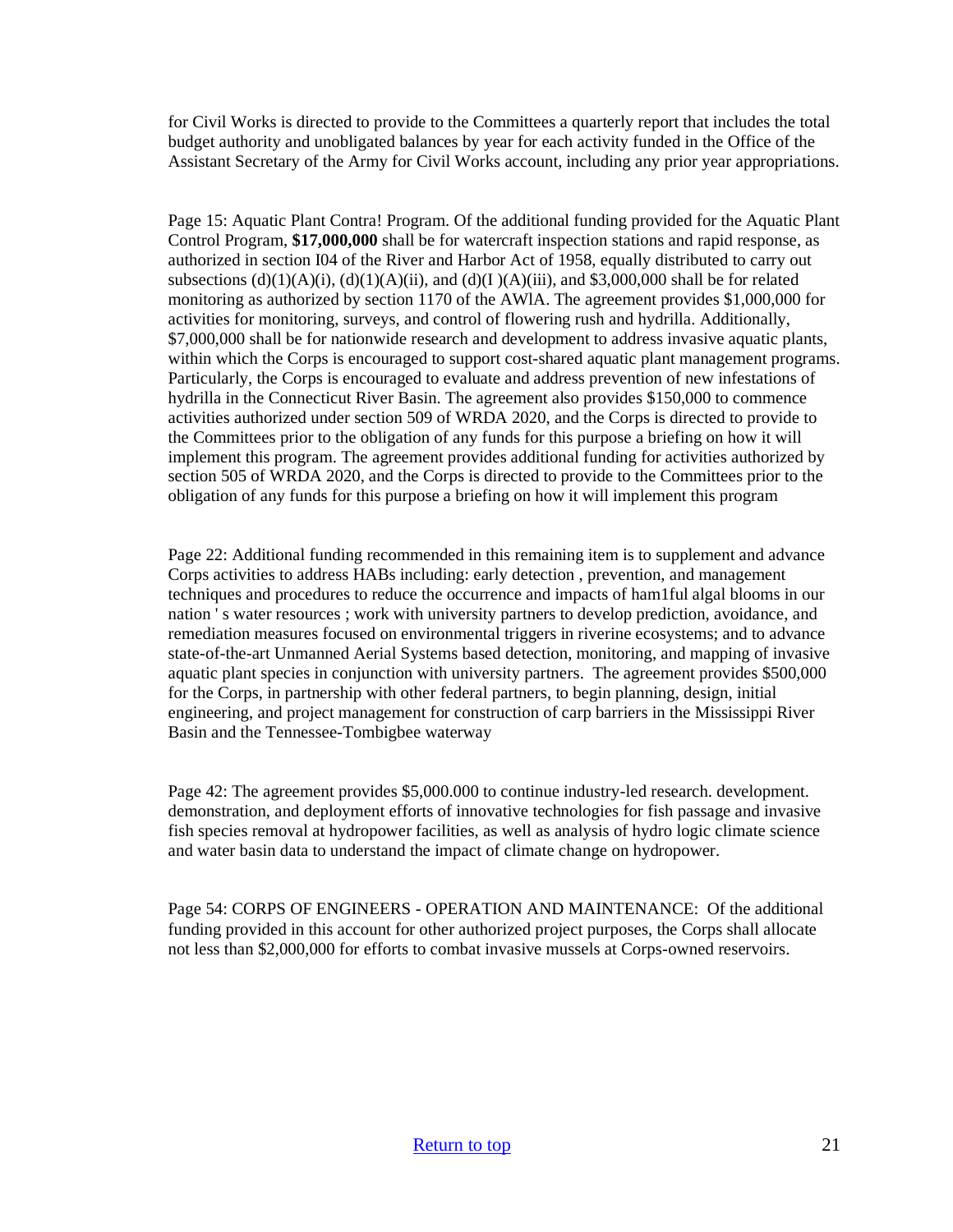for Civil Works is directed to provide to the Committees a quarterly report that includes the total budget authority and unobligated balances by year for each activity funded in the Office of the Assistant Secretary of the Army for Civil Works account, including any prior year appropriations.

Page 15: Aquatic Plant Contra! Program. Of the additional funding provided for the Aquatic Plant Control Program, **\$17,000,000** shall be for watercraft inspection stations and rapid response, as authorized in section I04 of the River and Harbor Act of 1958, equally distributed to carry out subsections  $(d)(1)(A)(i)$ ,  $(d)(1)(A)(ii)$ , and  $(d)(I)(A)(iii)$ , and \$3,000,000 shall be for related monitoring as authorized by section 1170 of the AWlA. The agreement provides \$1,000,000 for activities for monitoring, surveys, and control of flowering rush and hydrilla. Additionally, \$7,000,000 shall be for nationwide research and development to address invasive aquatic plants, within which the Corps is encouraged to support cost-shared aquatic plant management programs. Particularly, the Corps is encouraged to evaluate and address prevention of new infestations of hydrilla in the Connecticut River Basin. The agreement also provides \$150,000 to commence activities authorized under section 509 of WRDA 2020, and the Corps is directed to provide to the Committees prior to the obligation of any funds for this purpose a briefing on how it will implement this program. The agreement provides additional funding for activities authorized by section 505 of WRDA 2020, and the Corps is directed to provide to the Committees prior to the obligation of any funds for this purpose a briefing on how it will implement this program

Page 22: Additional funding recommended in this remaining item is to supplement and advance Corps activities to address HABs including: early detection , prevention, and management techniques and procedures to reduce the occurrence and impacts of ham1ful algal blooms in our nation ' s water resources ; work with university partners to develop prediction, avoidance, and remediation measures focused on environmental triggers in riverine ecosystems; and to advance state-of-the-art Unmanned Aerial Systems based detection, monitoring, and mapping of invasive aquatic plant species in conjunction with university partners. The agreement provides \$500,000 for the Corps, in partnership with other federal partners, to begin planning, design, initial engineering, and project management for construction of carp barriers in the Mississippi River Basin and the Tennessee-Tombigbee waterway

Page 42: The agreement provides \$5,000.000 to continue industry-led research. development. demonstration, and deployment efforts of innovative technologies for fish passage and invasive fish species removal at hydropower facilities, as well as analysis of hydro logic climate science and water basin data to understand the impact of climate change on hydropower.

Page 54: CORPS OF ENGINEERS - OPERATION AND MAINTENANCE: Of the additional funding provided in this account for other authorized project purposes, the Corps shall allocate not less than \$2,000,000 for efforts to combat invasive mussels at Corps-owned reservoirs.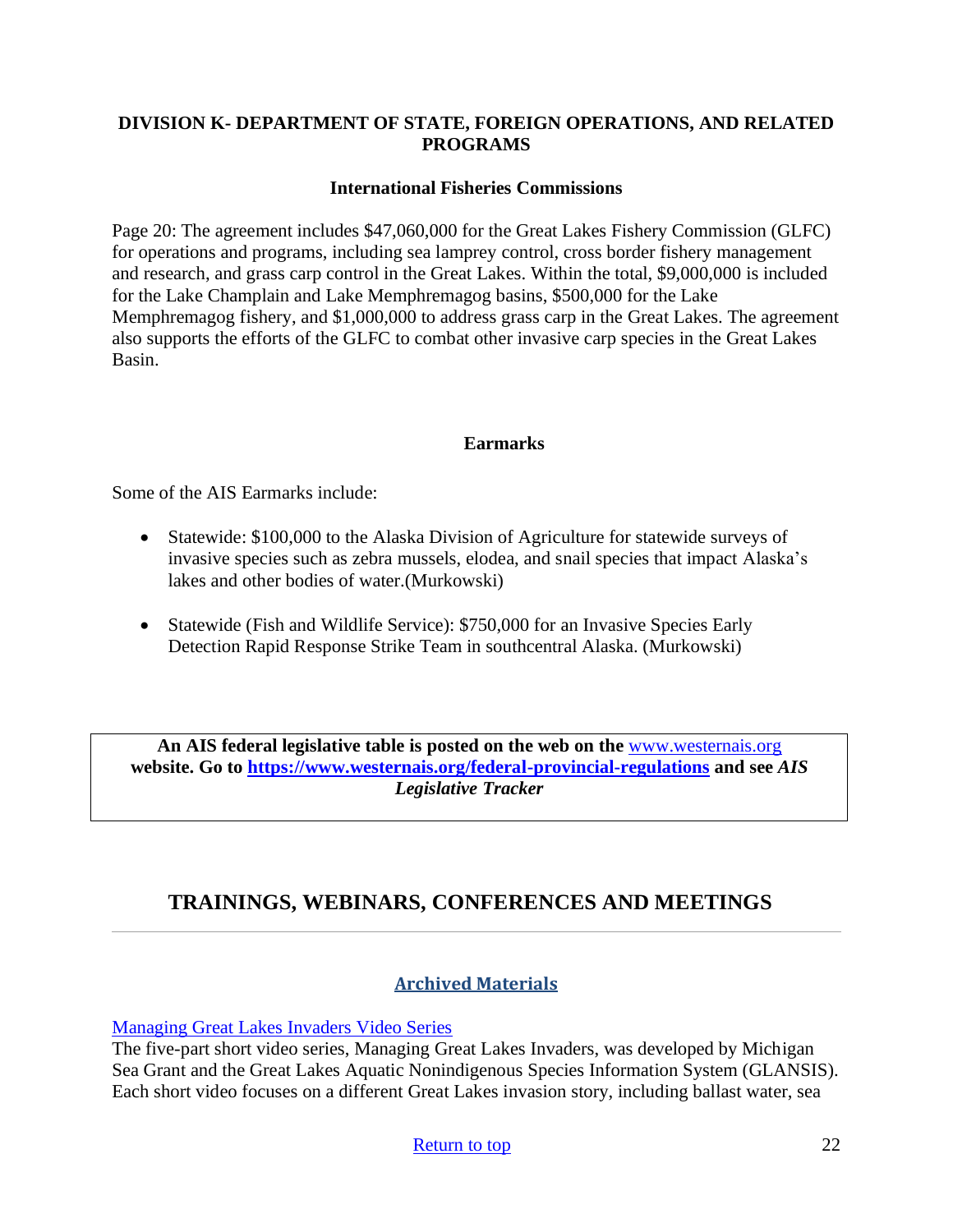## **DIVISION K- DEPARTMENT OF STATE, FOREIGN OPERATIONS, AND RELATED PROGRAMS**

#### **International Fisheries Commissions**

Page 20: The agreement includes \$47,060,000 for the Great Lakes Fishery Commission (GLFC) for operations and programs, including sea lamprey control, cross border fishery management and research, and grass carp control in the Great Lakes. Within the total, \$9,000,000 is included for the Lake Champlain and Lake Memphremagog basins, \$500,000 for the Lake Memphremagog fishery, and \$1,000,000 to address grass carp in the Great Lakes. The agreement also supports the efforts of the GLFC to combat other invasive carp species in the Great Lakes Basin.

#### **Earmarks**

Some of the AIS Earmarks include:

- Statewide: \$100,000 to the Alaska Division of Agriculture for statewide surveys of invasive species such as zebra mussels, elodea, and snail species that impact Alaska's lakes and other bodies of water.(Murkowski)
- Statewide (Fish and Wildlife Service): \$750,000 for an Invasive Species Early Detection Rapid Response Strike Team in southcentral Alaska. (Murkowski)

**An AIS federal legislative table is posted on the web on the** [www.westernais.org](http://www.westernais.org/) **website. Go to<https://www.westernais.org/federal-provincial-regulations> and see** *AIS Legislative Tracker*

# <span id="page-21-0"></span>**TRAININGS, WEBINARS, CONFERENCES AND MEETINGS**

#### **Archived Materials**

[Managing Great Lakes Invaders Video Series](https://www.youtube.com/playlist?list=PLrRNRwudM7U90Y614QPP0xFpxGISedvQT&utm_medium=email&utm_source=govdelivery)

The five-part short video series, Managing Great Lakes Invaders, was developed by Michigan Sea Grant and the Great Lakes Aquatic Nonindigenous Species Information System (GLANSIS). Each short video focuses on a different Great Lakes invasion story, including ballast water, sea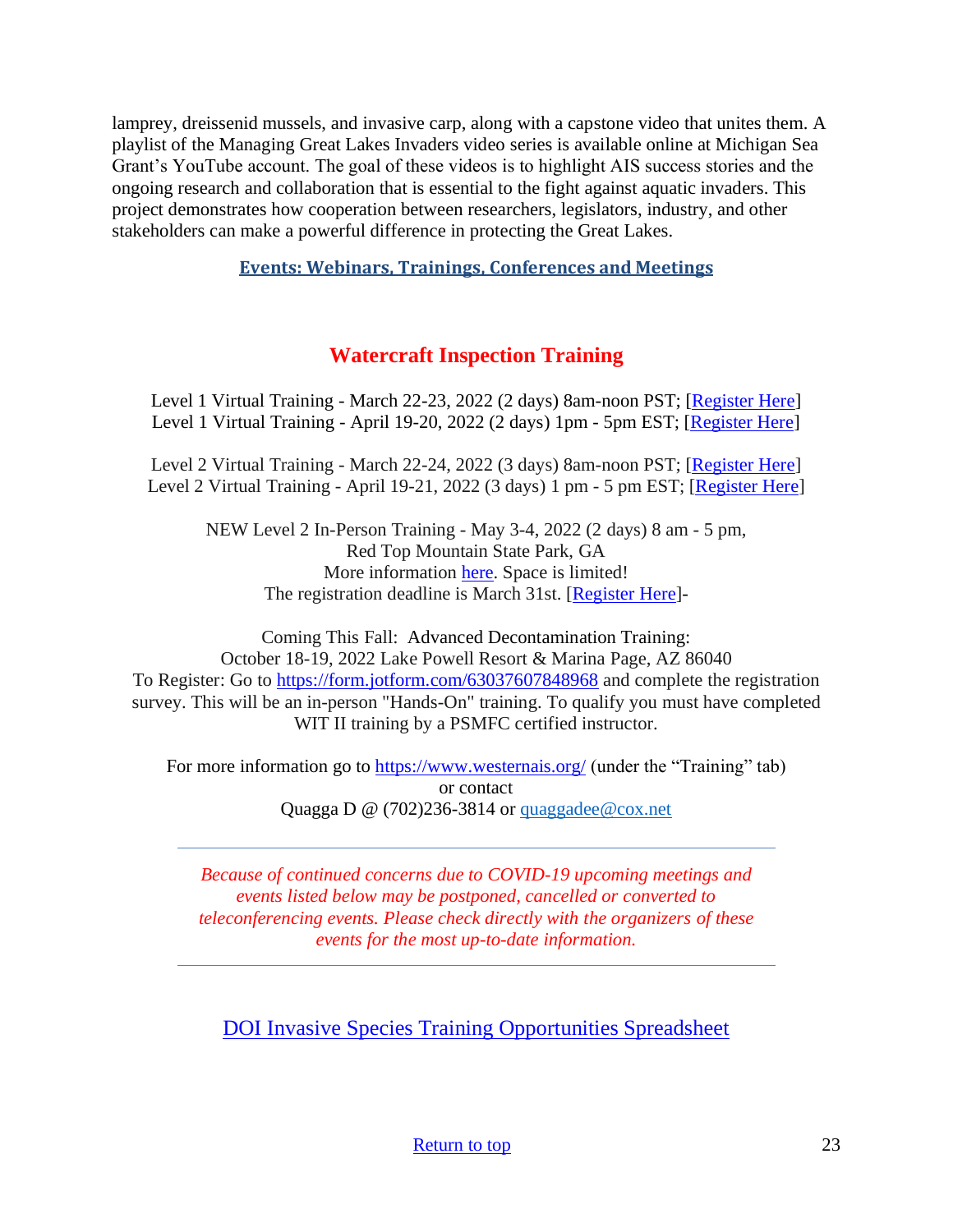lamprey, dreissenid mussels, and invasive carp, along with a capstone video that unites them. A playlist of the Managing Great Lakes Invaders video series is available online at Michigan Sea Grant's YouTube account. The goal of these videos is to highlight AIS success stories and the ongoing research and collaboration that is essential to the fight against aquatic invaders. This project demonstrates how cooperation between researchers, legislators, industry, and other stakeholders can make a powerful difference in protecting the Great Lakes.

**Events: Webinars, Trainings, Conferences and Meetings**

# **Watercraft Inspection Training**

Level 1 Virtual Training - March 22-23, 2022 (2 days) 8am-noon PST; [\[Register Here\]](https://us02web.zoom.us/meeting/register/tZcpcO-hpz8jGNJ6Weax-__pDobzlIzmahMU) Level 1 Virtual Training - April 19-20, 2022 (2 days) 1pm - 5pm EST; [\[Register Here\]](https://us02web.zoom.us/meeting/register/tZ0rcuivpzspG93_2FXTlyeKrkRBe0C-5VYu)

Level 2 Virtual Training - March 22-24, 2022 (3 days) 8am-noon PST; [\[Register Here\]](https://us02web.zoom.us/meeting/register/tZcpcO-hpz8jGNJ6Weax-__pDobzlIzmahMU) Level 2 Virtual Training - April 19-21, 2022 (3 days) 1 pm - 5 pm EST; [\[Register](https://us02web.zoom.us/meeting/register/tZ0rcuivpzspG93_2FXTlyeKrkRBe0C-5VYu) Here]

NEW Level 2 In-Person Training - May 3-4, 2022 (2 days) 8 am - 5 pm, Red Top Mountain State Park, GA More information [here.](https://www.westernais.org/_files/ugd/bb76e5_0fd9bd8db8324c0db9815f1d98399755.pdf) Space is limited! The registration deadline is March 31st. [\[Register](https://form.jotform.com/220475746059159) Here]-

Coming This Fall: Advanced Decontamination Training: October 18-19, 2022 Lake Powell Resort & Marina Page, AZ 86040 To Register: Go to <https://form.jotform.com/63037607848968> and complete the registration survey. This will be an in-person "Hands-On" training. To qualify you must have completed WIT II training by a PSMFC certified instructor.

For more information go to<https://www.westernais.org/> (under the "Training" tab) or contact Quagga D  $\omega$  (702)236-3814 or quaggadee  $\omega$  cox.net

*Because of continued concerns due to COVID-19 upcoming meetings and events listed below may be postponed, cancelled or converted to teleconferencing events. Please check directly with the organizers of these events for the most up-to-date information.*

[DOI Invasive Species Training Opportunities Spreadsheet](https://www.doi.gov/sites/doi.gov/files/doi-invasive-species-training-opportunities.pdf)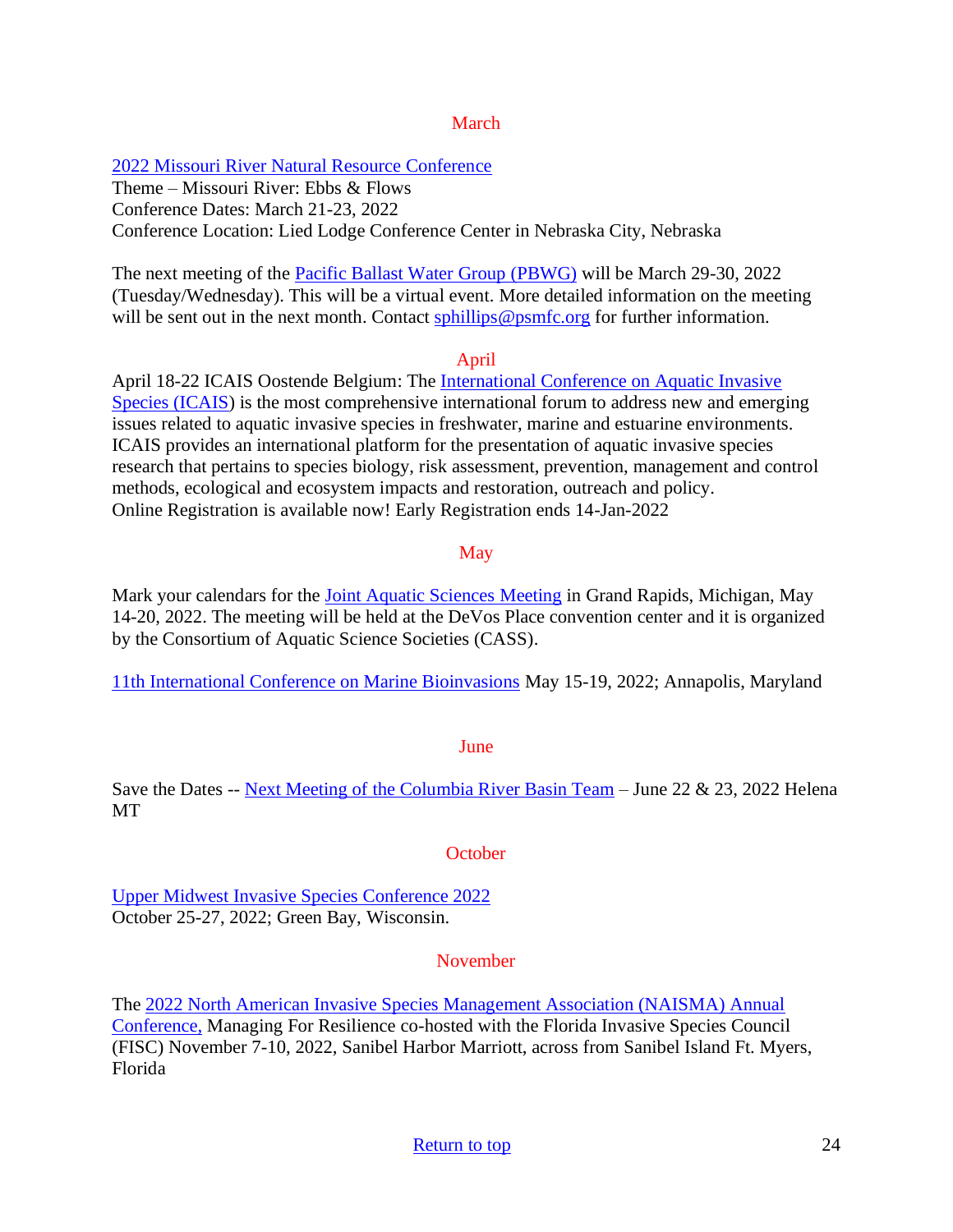#### March

#### [2022 Missouri River Natural Resource Conference](https://mrnrc2022.com/)

Theme – Missouri River: Ebbs & Flows Conference Dates: March 21-23, 2022 Conference Location: Lied Lodge Conference Center in Nebraska City, Nebraska

The next meeting of the **Pacific Ballast Water Group (PBWG)** will be March 29-30, 2022 (Tuesday/Wednesday). This will be a virtual event. More detailed information on the meeting will be sent out in the next month. Contact sphillips @psmfc.org for further information.

#### April

April 18-22 ICAIS Oostende Belgium: The [International Conference on Aquatic Invasive](http://www.icais.org/)  [Species \(ICAIS\)](http://www.icais.org/) is the most comprehensive international forum to address new and emerging issues related to aquatic invasive species in freshwater, marine and estuarine environments. ICAIS provides an international platform for the presentation of aquatic invasive species research that pertains to species biology, risk assessment, prevention, management and control methods, ecological and ecosystem impacts and restoration, outreach and policy. Online Registration is available now! Early Registration ends 14-Jan-2022

## May

Mark your calendars for the [Joint Aquatic Sciences Meeting](https://jasm2022.aquaticsocieties.org/) in Grand Rapids, Michigan, May 14-20, 2022. The meeting will be held at the DeVos Place convention center and it is organized by the Consortium of Aquatic Science Societies (CASS).

[11th International Conference on Marine Bioinvasions](https://marinebioinvasions.info/) May 15-19, 2022; Annapolis, Maryland

#### June

Save the Dates -- [Next Meeting of the Columbia River Basin Team](https://www.westernais.org/coordination) – June 22 & 23, 2022 Helena MT

**October** 

[Upper Midwest Invasive Species Conference 2022](http://www.umisc.net/?utm_medium=email&utm_source=govdelivery) October 25-27, 2022; Green Bay, Wisconsin.

## November

The [2022 North American Invasive Species Management Association \(NAISMA\) Annual](https://naisma.org/conferences/abstract-submission/)  [Conference,](https://naisma.org/conferences/abstract-submission/) Managing For Resilience co-hosted with the Florida Invasive Species Council (FISC) November 7-10, 2022, Sanibel Harbor Marriott, across from Sanibel Island Ft. Myers, Florida